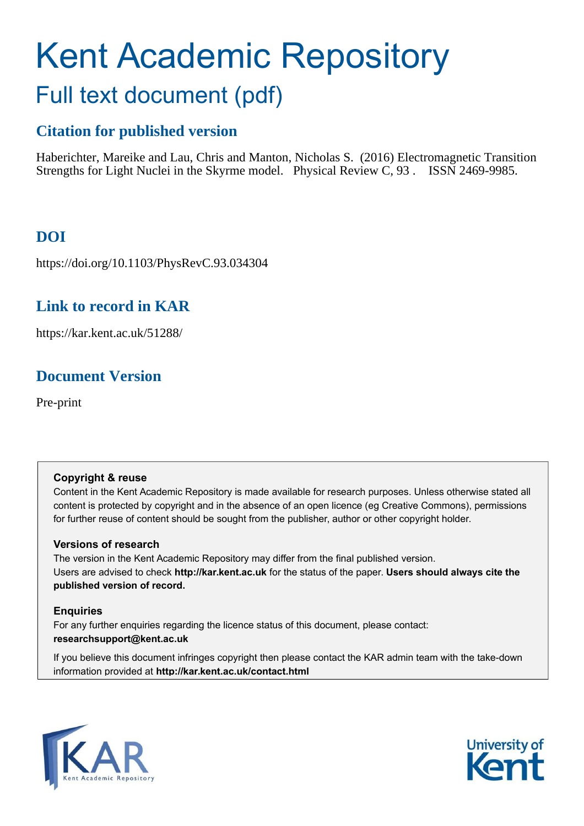# Kent Academic Repository Full text document (pdf)

## **Citation for published version**

Haberichter, Mareike and Lau, Chris and Manton, Nicholas S. (2016) Electromagnetic Transition Strengths for Light Nuclei in the Skyrme model. Physical Review C, 93 . ISSN 2469-9985.

## **DOI**

https://doi.org/10.1103/PhysRevC.93.034304

### **Link to record in KAR**

https://kar.kent.ac.uk/51288/

## **Document Version**

Pre-print

#### **Copyright & reuse**

Content in the Kent Academic Repository is made available for research purposes. Unless otherwise stated all content is protected by copyright and in the absence of an open licence (eg Creative Commons), permissions for further reuse of content should be sought from the publisher, author or other copyright holder.

#### **Versions of research**

The version in the Kent Academic Repository may differ from the final published version. Users are advised to check **http://kar.kent.ac.uk** for the status of the paper. **Users should always cite the published version of record.**

#### **Enquiries**

For any further enquiries regarding the licence status of this document, please contact: **researchsupport@kent.ac.uk**

<span id="page-0-1"></span><span id="page-0-0"></span>If you believe this document infringes copyright then please contact the KAR admin team with the take-down information provided at **http://kar.kent.ac.uk/contact.html**

<span id="page-0-2"></span>

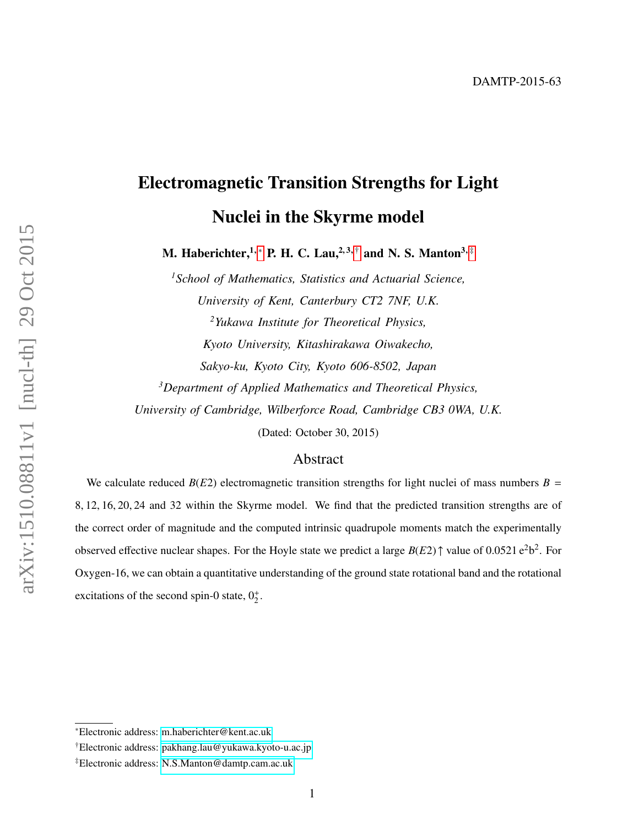## Electromagnetic Transition Strengths for Light Nuclei in the Skyrme model

M. Haberichter,<sup>1,\*</sup> P. H. C. Lau,<sup>2,3,[†](#page-0-1)</sup> and N. S. Manton<sup>3,[‡](#page-0-2)</sup>

*<sup>1</sup>School of Mathematics, Statistics and Actuarial Science, University of Kent, Canterbury CT2 7NF, U.K. <sup>2</sup>Yukawa Institute for Theoretical Physics, Kyoto University, Kitashirakawa Oiwakecho, Sakyo-ku, Kyoto City, Kyoto 606-8502, Japan <sup>3</sup>Department of Applied Mathematics and Theoretical Physics, University of Cambridge, Wilberforce Road, Cambridge CB3 0WA, U.K.*

(Dated: October 30, 2015)

#### <span id="page-1-0"></span>Abstract

We calculate reduced  $B(E2)$  electromagnetic transition strengths for light nuclei of mass numbers  $B =$ 8, 12, 16, 20, 24 and 32 within the Skyrme model. We find that the predicted transition strengths are of the correct order of magnitude and the computed intrinsic quadrupole moments match the experimentally observed effective nuclear shapes. For the Hoyle state we predict a large  $B(E2)$   $\uparrow$  value of 0.0521  $e^2b^2$ . For Oxygen-16, we can obtain a quantitative understanding of the ground state rotational band and the rotational excitations of the second spin-0 state,  $0^+_2$ .

<sup>∗</sup>Electronic address: [m.haberichter@kent.ac.uk](mailto:m.haberichter@kent.ac.uk)

<sup>†</sup>Electronic address: [pakhang.lau@yukawa.kyoto-u.ac.jp](mailto:pakhang.lau@yukawa.kyoto-u.ac.jp)

<sup>‡</sup>Electronic address: [N.S.Manton@damtp.cam.ac.uk](mailto:N.S.Manton@damtp.cam.ac.uk)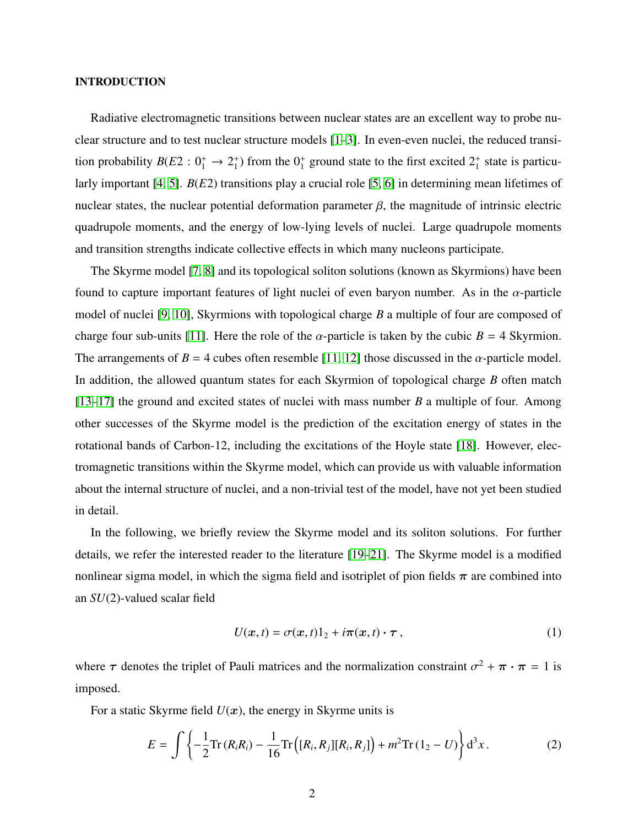#### INTRODUCTION

Radiative electromagnetic transitions between nuclear states are an excellent way to probe nuclear structure and to test nuclear structure models [\[1](#page-19-0)[–3\]](#page-20-0). In even-even nuclei, the reduced transition probability  $B(E2: 0^+_1 \rightarrow 2^+_1)$ <sup>+</sup>) from the  $0^+_1$  ground state to the first excited  $2^+_1$  state is particularly important [\[4,](#page-20-1) [5\]](#page-20-2). *B*(*E*2) transitions play a crucial role [\[5,](#page-20-2) [6\]](#page-20-3) in determining mean lifetimes of nuclear states, the nuclear potential deformation parameter  $β$ , the magnitude of intrinsic electric quadrupole moments, and the energy of low-lying levels of nuclei. Large quadrupole moments and transition strengths indicate collective effects in which many nucleons participate.

<span id="page-2-0"></span>The Skyrme model [\[7,](#page-20-4) [8\]](#page-20-5) and its topological soliton solutions (known as Skyrmions) have been found to capture important features of light nuclei of even baryon number. As in the  $\alpha$ -particle model of nuclei [\[9,](#page-20-6) [10\]](#page-20-7), Skyrmions with topological charge *B* a multiple of four are composed of charge four sub-units [\[11\]](#page-20-8). Here the role of the  $\alpha$ -particle is taken by the cubic  $B = 4$  Skyrmion. The arrangements of  $B = 4$  cubes often resemble [\[11,](#page-20-8) [12\]](#page-20-9) those discussed in the  $\alpha$ -particle model. In addition, the allowed quantum states for each Skyrmion of topological charge *B* often match [\[13–](#page-20-10)[17\]](#page-20-11) the ground and excited states of nuclei with mass number *B* a multiple of four. Among other successes of the Skyrme model is the prediction of the excitation energy of states in the rotational bands of Carbon-12, including the excitations of the Hoyle state [\[18\]](#page-20-12). However, electromagnetic transitions within the Skyrme model, which can provide us with valuable information about the internal structure of nuclei, and a non-trivial test of the model, have not yet been studied in detail.

In the following, we briefly review the Skyrme model and its soliton solutions. For further details, we refer the interested reader to the literature [\[19–](#page-20-13)[21\]](#page-20-14). The Skyrme model is a modified nonlinear sigma model, in which the sigma field and isotriplet of pion fields  $\pi$  are combined into an *SU*(2)-valued scalar field

$$
U(x,t) = \sigma(x,t)1_2 + i\pi(x,t) \cdot \tau,
$$
\n(1)

where  $\tau$  denotes the triplet of Pauli matrices and the normalization constraint  $\sigma^2 + \pi \cdot \pi = 1$  is imposed.

For a static Skyrme field  $U(x)$ , the energy in Skyrme units is

$$
E = \int \left\{ -\frac{1}{2} \text{Tr} \left( R_i R_i \right) - \frac{1}{16} \text{Tr} \left( [R_i, R_j] [R_i, R_j] \right) + m^2 \text{Tr} \left( 1_2 - U \right) \right\} d^3 x. \tag{2}
$$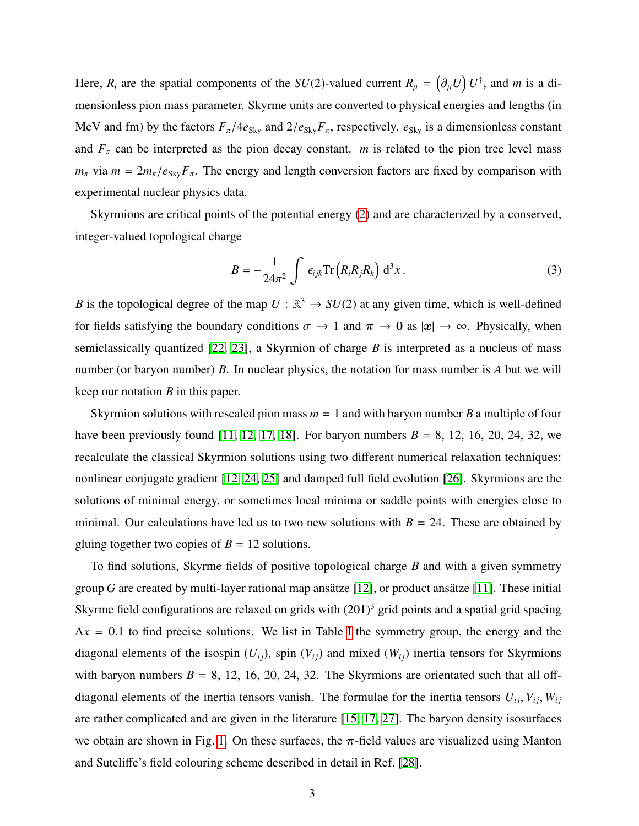Here,  $R_i$  are the spatial components of the *SU*(2)-valued current  $R_\mu = (\partial_\mu U) U^{\dagger}$ , and *m* is a dimensionless pion mass parameter. Skyrme units are converted to physical energies and lengths (in MeV and fm) by the factors  $F_\pi/4e_{\text{Sky}}$  and  $2/e_{\text{Sky}}F_\pi$ , respectively.  $e_{\text{Sky}}$  is a dimensionless constant and  $F_\pi$  can be interpreted as the pion decay constant. *m* is related to the pion tree level mass  $m_{\pi}$  via  $m = 2m_{\pi}/e_{\text{Sky}}F_{\pi}$ . The energy and length conversion factors are fixed by comparison with experimental nuclear physics data.

Skyrmions are critical points of the potential energy [\(2\)](#page-1-0) and are characterized by a conserved, integer-valued topological charge

$$
B = -\frac{1}{24\pi^2} \int \epsilon_{ijk} \text{Tr} \left( R_i R_j R_k \right) d^3 x \,. \tag{3}
$$

*B* is the topological degree of the map  $U : \mathbb{R}^3 \to SU(2)$  at any given time, which is well-defined for fields satisfying the boundary conditions  $\sigma \to 1$  and  $\pi \to 0$  as  $|x| \to \infty$ . Physically, when semiclassically quantized [\[22,](#page-20-15) [23\]](#page-20-16), a Skyrmion of charge *B* is interpreted as a nucleus of mass number (or baryon number) *B*. In nuclear physics, the notation for mass number is *A* but we will keep our notation *B* in this paper.

Skyrmion solutions with rescaled pion mass  $m = 1$  and with baryon number *B* a multiple of four have been previously found [\[11,](#page-20-8) [12,](#page-20-9) [17,](#page-20-11) [18\]](#page-20-12). For baryon numbers  $B = 8$ , 12, 16, 20, 24, 32, we recalculate the classical Skyrmion solutions using two different numerical relaxation techniques: nonlinear conjugate gradient [\[12,](#page-20-9) [24,](#page-20-17) [25\]](#page-20-18) and damped full field evolution [\[26\]](#page-20-19). Skyrmions are the solutions of minimal energy, or sometimes local minima or saddle points with energies close to minimal. Our calculations have led us to two new solutions with  $B = 24$ . These are obtained by gluing together two copies of  $B = 12$  solutions.

<span id="page-3-0"></span>To find solutions, Skyrme fields of positive topological charge *B* and with a given symmetry group *G* are created by multi-layer rational map ansätze [\[12\]](#page-20-9), or product ansätze [\[11\]](#page-20-8). These initial Skyrme field configurations are relaxed on grids with  $(201)^3$  grid points and a spatial grid spacing  $\Delta x = 0.1$  to find precise solutions. We list in Table [I](#page-5-0) the symmetry group, the energy and the diagonal elements of the isospin  $(U_{ij})$ , spin  $(V_{ij})$  and mixed  $(W_{ij})$  inertia tensors for Skyrmions with baryon numbers  $B = 8$ , 12, 16, 20, 24, 32. The Skyrmions are orientated such that all offdiagonal elements of the inertia tensors vanish. The formulae for the inertia tensors  $U_{ij}$ ,  $V_{ij}$ ,  $W_{ij}$ are rather complicated and are given in the literature [\[15,](#page-20-20) [17,](#page-20-11) [27\]](#page-20-21). The baryon density isosurfaces we obtain are shown in Fig. [1.](#page-3-0) On these surfaces, the  $\pi$ -field values are visualized using Manton and Sutcliffe's field colouring scheme described in detail in Ref. [\[28\]](#page-20-22).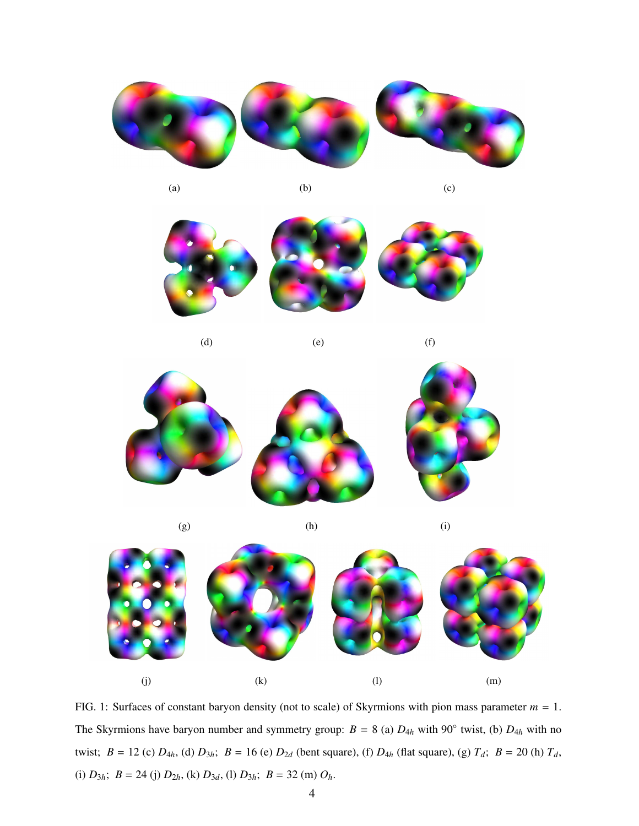

<span id="page-4-0"></span>

(a)  $(b)$  (c)



(d)  $(e)$  (f)



(g)  $(h)$  (i)



FIG. 1: Surfaces of constant baryon density (not to scale) of Skyrmions with pion mass parameter  $m = 1$ . The Skyrmions have baryon number and symmetry group:  $B = 8$  (a)  $D_{4h}$  with 90<sup>°</sup> twist, (b)  $D_{4h}$  with no twist;  $B = 12$  (c)  $D_{4h}$ , (d)  $D_{3h}$ ;  $B = 16$  (e)  $D_{2d}$  (bent square), (f)  $D_{4h}$  (flat square), (g)  $T_d$ ;  $B = 20$  (h)  $T_d$ , (i)  $D_{3h}$ ;  $B = 24$  (j)  $D_{2h}$ , (k)  $D_{3d}$ , (l)  $D_{3h}$ ;  $B = 32$  (m)  $O_h$ .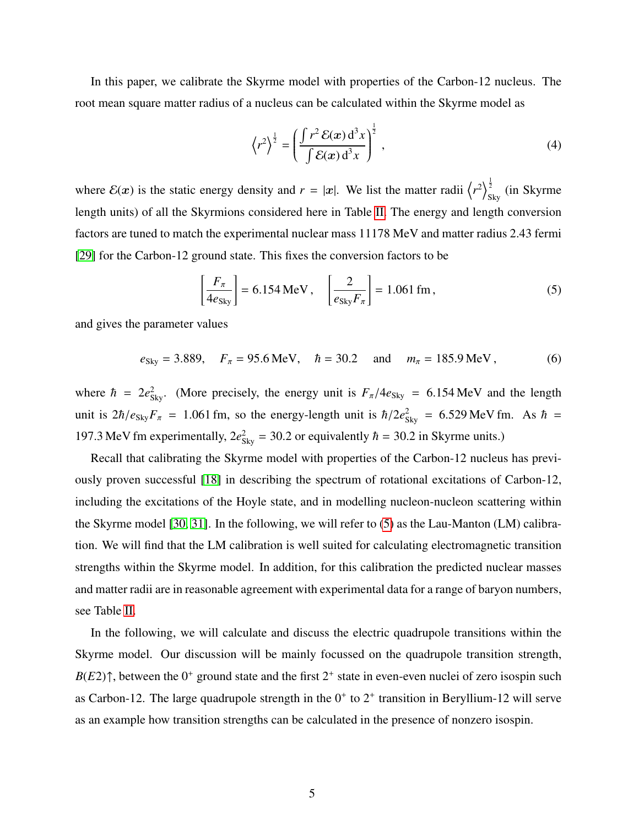<span id="page-5-0"></span>In this paper, we calibrate the Skyrme model with properties of the Carbon-12 nucleus. The root mean square matter radius of a nucleus can be calculated within the Skyrme model as

$$
\left\langle r^2 \right\rangle^{\frac{1}{2}} = \left( \frac{\int r^2 \mathcal{E}(\mathbf{x}) \, \mathrm{d}^3 x}{\int \mathcal{E}(\mathbf{x}) \, \mathrm{d}^3 x} \right)^{\frac{1}{2}},\tag{4}
$$

where  $\mathcal{E}(x)$  is the static energy density and  $r = |x|$ . We list the matter radii  $\left\langle r^2 \right\rangle_S^{\frac{1}{2}}$  $\frac{2}{\text{Sky}}$  (in Skyrme length units) of all the Skyrmions considered here in Table [II.](#page-6-0) The energy and length conversion factors are tuned to match the experimental nuclear mass 11178 MeV and matter radius 2.43 fermi [\[29\]](#page-20-23) for the Carbon-12 ground state. This fixes the conversion factors to be

$$
\left[\frac{F_{\pi}}{4e_{\text{Sky}}}\right] = 6.154 \text{ MeV}, \quad \left[\frac{2}{e_{\text{Sky}}F_{\pi}}\right] = 1.061 \text{ fm},\tag{5}
$$

and gives the parameter values

$$
e_{\text{Sky}} = 3.889
$$
,  $F_{\pi} = 95.6 \text{ MeV}$ ,  $\hbar = 30.2$  and  $m_{\pi} = 185.9 \text{ MeV}$ , (6)

where  $\hbar = 2e_{\text{Sky}}^2$ . (More precisely, the energy unit is  $F_{\pi}/4e_{\text{Sky}} = 6.154 \text{ MeV}$  and the length unit is  $2\hbar/e_{\text{Sky}}F_\pi$  = 1.061 fm, so the energy-length unit is  $\hbar/2e_{\text{sky}}^2$  = 6.529 MeV fm. As  $\hbar$  = 197.3 MeV fm experimentally,  $2e_{\text{Sky}}^2 = 30.2$  or equivalently  $\hbar = 30.2$  in Skyrme units.)

Recall that calibrating the Skyrme model with properties of the Carbon-12 nucleus has previously proven successful [\[18\]](#page-20-12) in describing the spectrum of rotational excitations of Carbon-12, including the excitations of the Hoyle state, and in modelling nucleon-nucleon scattering within the Skyrme model [\[30,](#page-21-0) [31\]](#page-21-1). In the following, we will refer to [\(5\)](#page-4-0) as the Lau-Manton (LM) calibration. We will find that the LM calibration is well suited for calculating electromagnetic transition strengths within the Skyrme model. In addition, for this calibration the predicted nuclear masses and matter radii are in reasonable agreement with experimental data for a range of baryon numbers, see Table [II.](#page-6-0)

<span id="page-5-1"></span>In the following, we will calculate and discuss the electric quadrupole transitions within the Skyrme model. Our discussion will be mainly focussed on the quadrupole transition strength,  $B(E2)$ <sup> $\uparrow$ </sup>, between the 0<sup>+</sup> ground state and the first 2<sup>+</sup> state in even-even nuclei of zero isospin such as Carbon-12. The large quadrupole strength in the  $0^+$  to  $2^+$  transition in Beryllium-12 will serve as an example how transition strengths can be calculated in the presence of nonzero isospin.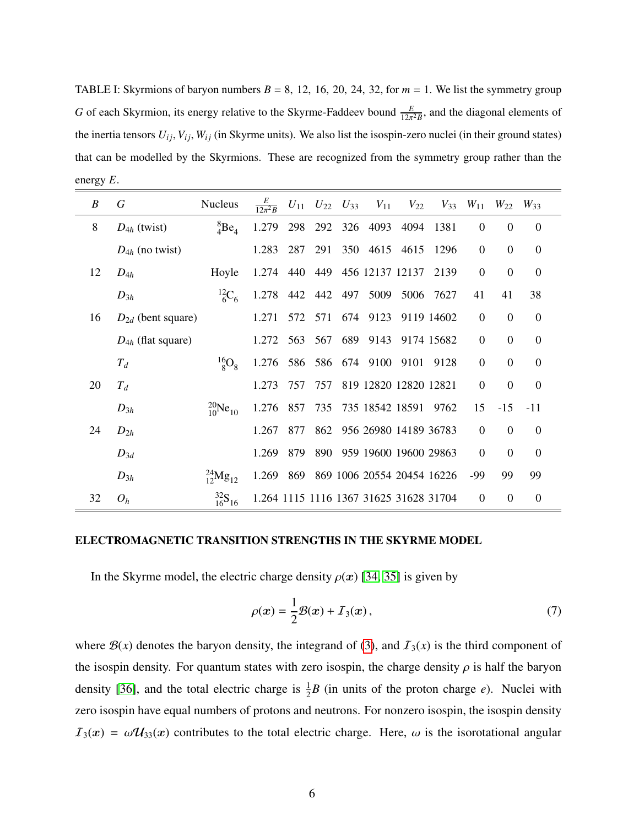<span id="page-6-0"></span>TABLE I: Skyrmions of baryon numbers  $B = 8$ , 12, 16, 20, 24, 32, for  $m = 1$ . We list the symmetry group *G* of each Skyrmion, its energy relative to the Skyrme-Faddeev bound  $\frac{E}{12\pi^2 B}$ , and the diagonal elements of the inertia tensors  $U_{ij}$ ,  $V_{ij}$ ,  $W_{ij}$  (in Skyrme units). We also list the isospin-zero nuclei (in their ground states) that can be modelled by the Skyrmions. These are recognized from the symmetry group rather than the energy *E*.

| B  | G                      | <b>Nucleus</b>                | $rac{E}{12\pi^2 R}$ |     | $U_{11}$ $U_{22}$ $U_{33}$ | $V_{11}$                               | $V_{22}$       | $V_{33}$   | $W_{11}$       | $W_{22}$       | $W_{33}$         |  |
|----|------------------------|-------------------------------|---------------------|-----|----------------------------|----------------------------------------|----------------|------------|----------------|----------------|------------------|--|
| 8  | $D_{4h}$ (twist)       | ${}^{8}_{4}Be_{4}$            | 1.279               | 298 | 292                        | 326 4093                               | 4094           | 1381       | $\mathbf{0}$   | $\theta$       | $\theta$         |  |
|    | $D_{4h}$ (no twist)    |                               | 1.283               | 287 | 291                        | 350 4615 4615                          |                | -1296      | $\overline{0}$ | $\mathbf 0$    | $\boldsymbol{0}$ |  |
| 12 | $D_{4h}$               | Hoyle                         | 1.274               |     |                            | 440 449 456 12137 12137                |                | 2139       | $\mathbf{0}$   | $\Omega$       | $\mathbf{0}$     |  |
|    | $D_{3h}$               | $^{12}C_6$                    | 1.278 442 442 497   |     |                            |                                        | 5009 5006 7627 |            | 41             | 41             | 38               |  |
| 16 | $D_{2d}$ (bent square) |                               | 1.271               | 572 | 571                        | 674 9123                               |                | 9119 14602 | $\mathbf{0}$   | $\Omega$       | $\mathbf 0$      |  |
|    | $D_{4h}$ (flat square) |                               | 1.272               | 563 | 567                        | 689 9143                               |                | 9174 15682 | $\mathbf{0}$   | $\theta$       | $\theta$         |  |
|    | $T_d$                  | $^{16}$ O <sub>8</sub>        | 1.276               | 586 |                            | 586 674 9100                           |                | 9101 9128  | $\mathbf{0}$   | $\Omega$       | $\overline{0}$   |  |
| 20 | $T_d$                  |                               | 1.273               | 757 | 757                        | 819 12820 12820 12821                  |                |            | $\Omega$       | $\Omega$       | $\boldsymbol{0}$ |  |
|    | $D_{3h}$               | $^{20}_{10}Ne_{10}$           | 1.276 857           |     |                            | 735 735 18542 18591 9762               |                |            | 15             | $-15$          | $-11$            |  |
| 24 | $D_{2h}$               |                               | 1.267               | 877 |                            | 862 956 26980 14189 36783              |                |            | $\overline{0}$ | $\Omega$       | $\theta$         |  |
|    | $D_{3d}$               |                               | 1.269               | 879 |                            | 890 959 19600 19600 29863              |                |            | $\theta$       | $\Omega$       | $\overline{0}$   |  |
|    | $D_{3h}$               | $^{24}_{12}$ Mg <sub>12</sub> | 1.269               | 869 |                            | 869 1006 20554 20454 16226             |                |            | -99            | 99             | 99               |  |
| 32 | $O_h$                  | $\frac{32}{16}S_{16}$         |                     |     |                            | 1.264 1115 1116 1367 31625 31628 31704 |                |            | $\mathbf{0}$   | $\overline{0}$ | $\boldsymbol{0}$ |  |

#### ELECTROMAGNETIC TRANSITION STRENGTHS IN THE SKYRME MODEL

In the Skyrme model, the electric charge density  $\rho(x)$  [\[34,](#page-21-2) [35\]](#page-21-3) is given by

<span id="page-6-1"></span>
$$
\rho(x) = \frac{1}{2}\mathcal{B}(x) + \mathcal{I}_3(x),\tag{7}
$$

where  $\mathcal{B}(x)$  denotes the baryon density, the integrand of [\(3\)](#page-2-0), and  $\mathcal{I}_3(x)$  is the third component of the isospin density. For quantum states with zero isospin, the charge density  $\rho$  is half the baryon density [\[36\]](#page-21-4), and the total electric charge is  $\frac{1}{2}B$  (in units of the proton charge *e*). Nuclei with zero isospin have equal numbers of protons and neutrons. For nonzero isospin, the isospin density  $I_3(x) = \omega \mathcal{U}_{33}(x)$  contributes to the total electric charge. Here,  $\omega$  is the isorotational angular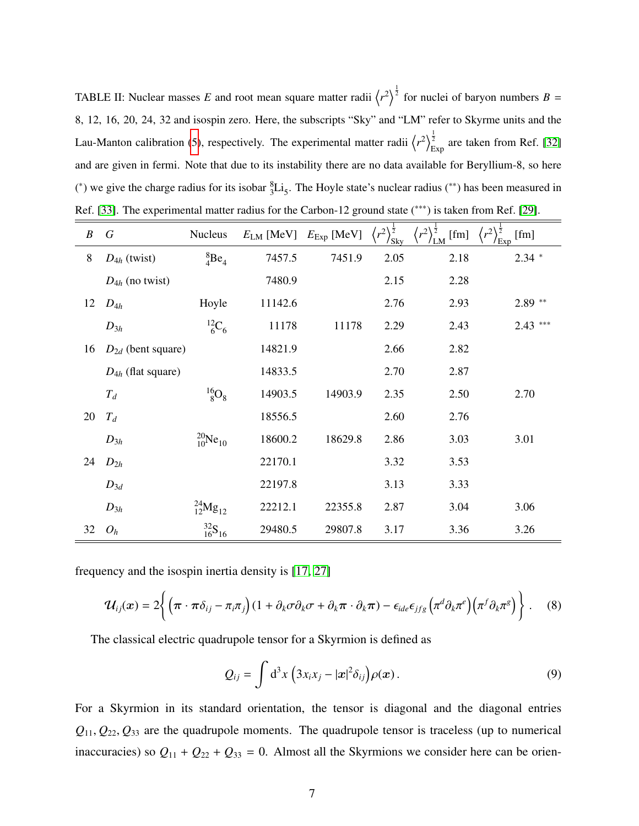TABLE II: Nuclear masses E and root mean square matter radii  $\langle r^2 \rangle^{\frac{1}{2}}$  for nuclei of baryon numbers  $B =$ 8, 12, 16, 20, 24, 32 and isospin zero. Here, the subscripts "Sky" and "LM" refer to Skyrme units and the Lau-Manton calibration [\(5\)](#page-4-0), respectively. The experimental matter radii  $\langle r^2 \rangle^{\frac{1}{2}}$  $\frac{2}{\text{Exp}}$  are taken from Ref. [\[32\]](#page-21-5) and are given in fermi. Note that due to its instability there are no data available for Beryllium-8, so here (\*) we give the charge radius for its isobar  ${}^{8}_{3}Li_5$ . The Hoyle state's nuclear radius (\*\*) has been measured in Ref. [\[33\]](#page-21-6). The experimental matter radius for the Carbon-12 ground state (\*\*\*) is taken from Ref. [\[29\]](#page-20-23).

| $\boldsymbol{B}$ | $\boldsymbol{G}$       | Nucleus                    | $E_{LM}$ [MeV] | $E_{\text{Exp}}$ [MeV] | $(r^2)^{\frac{1}{2}}$<br>$\sqrt{\rm$ Sky} | $\left\langle r^2 \right\rangle^{\frac{1}{2}}_{\rm LM}$<br>[fm] | $r^2$<br>[fm]<br>/E <sub>xp</sub> |
|------------------|------------------------|----------------------------|----------------|------------------------|-------------------------------------------|-----------------------------------------------------------------|-----------------------------------|
| 8                | $D_{4h}$ (twist)       | ${}^{8}_{4}Be_4$           | 7457.5         | 7451.9                 | 2.05                                      | 2.18                                                            | $2.34$ *                          |
|                  | $D_{4h}$ (no twist)    |                            | 7480.9         |                        | 2.15                                      | 2.28                                                            |                                   |
| 12               | $D_{4h}$               | Hoyle                      | 11142.6        |                        | 2.76                                      | 2.93                                                            | $2.89**$                          |
|                  | $D_{3h}$               | $^{12}C_6$                 | 11178          | 11178                  | 2.29                                      | 2.43                                                            | $2.43$ ***                        |
| 16               | $D_{2d}$ (bent square) |                            | 14821.9        |                        | 2.66                                      | 2.82                                                            |                                   |
|                  | $D_{4h}$ (flat square) |                            | 14833.5        |                        | 2.70                                      | 2.87                                                            |                                   |
|                  | $T_d$                  | $^{16}_{8}$ O <sub>8</sub> | 14903.5        | 14903.9                | 2.35                                      | 2.50                                                            | 2.70                              |
| 20               | $T_d$                  |                            | 18556.5        |                        | 2.60                                      | 2.76                                                            |                                   |
|                  | $D_{3h}$               | $^{20}_{10}Ne_{10}$        | 18600.2        | 18629.8                | 2.86                                      | 3.03                                                            | 3.01                              |
| 24               | $D_{2h}$               |                            | 22170.1        |                        | 3.32                                      | 3.53                                                            |                                   |
|                  | $D_{3d}$               |                            | 22197.8        |                        | 3.13                                      | 3.33                                                            |                                   |
|                  | $D_{3h}$               | $^{24}_{12}Mg_{12}$        | 22212.1        | 22355.8                | 2.87                                      | 3.04                                                            | 3.06                              |
| 32               | $O_h$                  | $\frac{32}{16}S_{16}$      | 29480.5        | 29807.8                | 3.17                                      | 3.36                                                            | 3.26                              |

frequency and the isospin inertia density is [\[17,](#page-20-11) [27\]](#page-20-21)

$$
\mathcal{U}_{ij}(x) = 2\bigg\{ \left( \pi \cdot \pi \delta_{ij} - \pi_i \pi_j \right) (1 + \partial_k \sigma \partial_k \sigma + \partial_k \pi \cdot \partial_k \pi) - \epsilon_{ide} \epsilon_{jfg} \left( \pi^d \partial_k \pi^e \right) \left( \pi^f \partial_k \pi^g \right) \bigg\} . \tag{8}
$$

The classical electric quadrupole tensor for a Skyrmion is defined as

<span id="page-7-2"></span><span id="page-7-1"></span><span id="page-7-0"></span>
$$
Q_{ij} = \int d^3x \left( 3x_i x_j - |\boldsymbol{x}|^2 \delta_{ij} \right) \rho(\boldsymbol{x}). \tag{9}
$$

For a Skyrmion in its standard orientation, the tensor is diagonal and the diagonal entries  $Q_{11}, Q_{22}, Q_{33}$  are the quadrupole moments. The quadrupole tensor is traceless (up to numerical inaccuracies) so  $Q_{11} + Q_{22} + Q_{33} = 0$ . Almost all the Skyrmions we consider here can be orien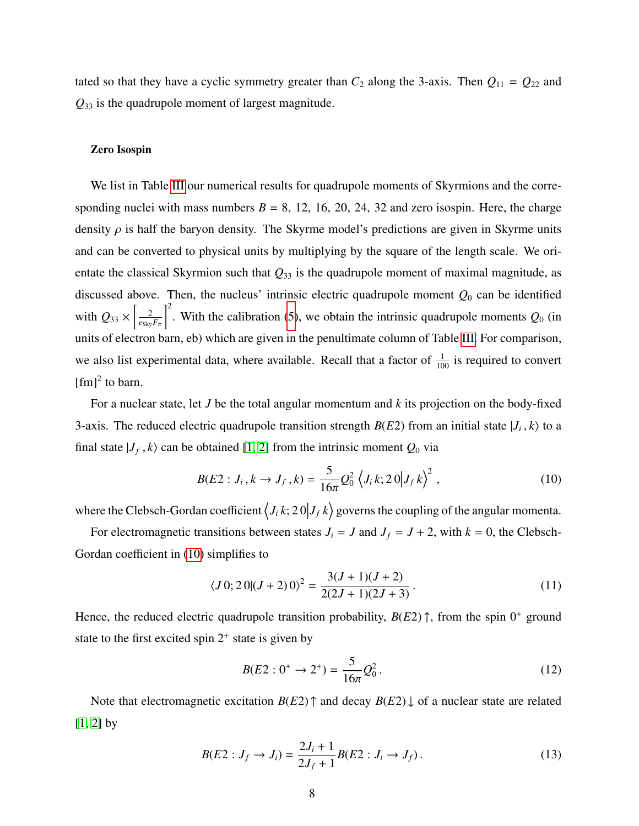<span id="page-8-0"></span>tated so that they have a cyclic symmetry greater than  $C_2$  along the 3-axis. Then  $Q_{11} = Q_{22}$  and *Q*<sup>33</sup> is the quadrupole moment of largest magnitude.

#### Zero Isospin

We list in Table [III](#page-8-0) our numerical results for quadrupole moments of Skyrmions and the corresponding nuclei with mass numbers  $B = 8$ , 12, 16, 20, 24, 32 and zero isospin. Here, the charge density  $\rho$  is half the baryon density. The Skyrme model's predictions are given in Skyrme units and can be converted to physical units by multiplying by the square of the length scale. We orientate the classical Skyrmion such that *Q*<sup>33</sup> is the quadrupole moment of maximal magnitude, as discussed above. Then, the nucleus' intrinsic electric quadrupole moment  $Q_0$  can be identified with  $Q_{33} \times \left| \frac{2}{e_{\text{Sky}}} \right|$  $e_{\rm Sky}F_\pi$  $\int_0^2$ . With the calibration [\(5\)](#page-4-0), we obtain the intrinsic quadrupole moments  $Q_0$  (in units of electron barn, eb) which are given in the penultimate column of Table [III.](#page-8-0) For comparison, we also list experimental data, where available. Recall that a factor of  $\frac{1}{100}$  is required to convert  $[fm]^2$  to barn.

For a nuclear state, let *J* be the total angular momentum and *k* its projection on the body-fixed 3-axis. The reduced electric quadrupole transition strength  $B(E2)$  from an initial state  $|J_i, k\rangle$  to a final state  $|J_f, k\rangle$  can be obtained [\[1,](#page-19-0) [2\]](#page-20-24) from the intrinsic moment  $Q_0$  via

$$
B(E2: J_i, k \to J_f, k) = \frac{5}{16\pi} Q_0^2 \left\langle J_i k; 20 | J_f k \right\rangle^2, \qquad (10)
$$

where the Clebsch-Gordan coefficient  $\langle J_i k; 20 | J_f k \rangle$  governs the coupling of the angular momenta.

For electromagnetic transitions between states  $J_i = J$  and  $J_f = J + 2$ , with  $k = 0$ , the Clebsch-Gordan coefficient in [\(10\)](#page-7-0) simplifies to

$$
\langle J0; 20 | (J+2)0 \rangle^2 = \frac{3(J+1)(J+2)}{2(2J+1)(2J+3)}.
$$
\n(11)

Hence, the reduced electric quadrupole transition probability,  $B(E2)$   $\uparrow$ , from the spin  $0^+$  ground state to the first excited spin  $2^+$  state is given by

$$
B(E2:0^+ \to 2^+) = \frac{5}{16\pi} Q_0^2.
$$
 (12)

Note that electromagnetic excitation  $B(E2)$   $\uparrow$  and decay  $B(E2) \downarrow$  of a nuclear state are related  $[1, 2]$  $[1, 2]$  by

$$
B(E2: J_f \to J_i) = \frac{2J_i + 1}{2J_f + 1} B(E2: J_i \to J_f).
$$
 (13)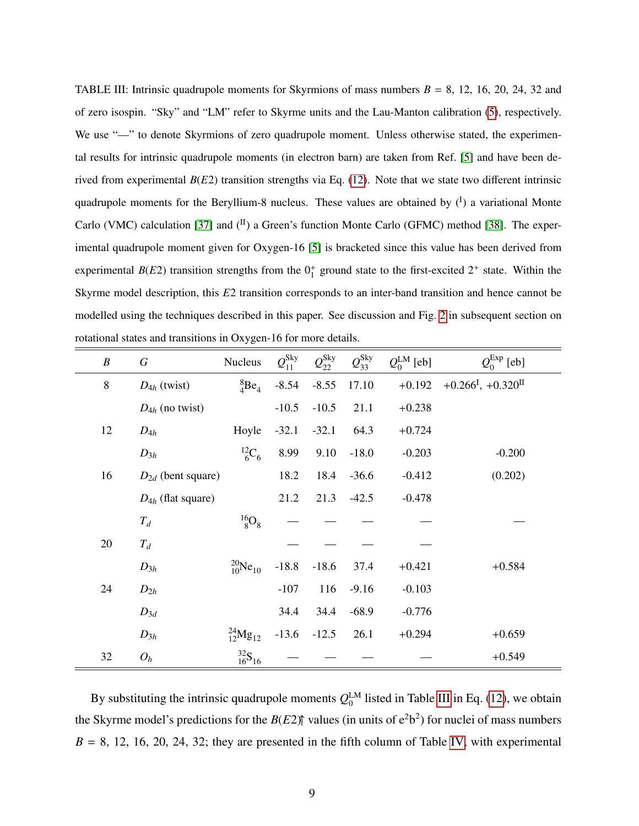TABLE III: Intrinsic quadrupole moments for Skyrmions of mass numbers  $B = 8$ , 12, 16, 20, 24, 32 and of zero isospin. "Sky" and "LM" refer to Skyrme units and the Lau-Manton calibration [\(5\)](#page-4-0), respectively. We use "-" to denote Skyrmions of zero quadrupole moment. Unless otherwise stated, the experimental results for intrinsic quadrupole moments (in electron barn) are taken from Ref. [\[5\]](#page-20-2) and have been derived from experimental  $B(E2)$  transition strengths via Eq. [\(12\)](#page-7-1). Note that we state two different intrinsic quadrupole moments for the Beryllium-8 nucleus. These values are obtained by  $(1)$  a variational Monte Carlo (VMC) calculation [\[37\]](#page-21-7) and  $(^{II})$  a Green's function Monte Carlo (GFMC) method [\[38\]](#page-21-8). The experimental quadrupole moment given for Oxygen-16 [\[5\]](#page-20-2) is bracketed since this value has been derived from experimental  $B(E2)$  transition strengths from the  $0<sub>1</sub><sup>+</sup>$  ground state to the first-excited  $2<sup>+</sup>$  state. Within the Skyrme model description, this *E*2 transition corresponds to an inter-band transition and hence cannot be modelled using the techniques described in this paper. See discussion and Fig. [2](#page-14-0) in subsequent section on rotational states and transitions in Oxygen-16 for more details.

| $\boldsymbol{B}$ | $\boldsymbol{G}$       | <b>Nucleus</b>                | $\mathcal{Q}_{11}^{\text{Sky}}$ | $\mathcal{Q}^{\rm Sky}_{22}$ | $\mathcal{Q}^{\rm Sky}_{33}$ | $Q_0^{\text{LM}}$ [eb] | $Q_0^{\text{Exp}}$ [eb]                        |  |
|------------------|------------------------|-------------------------------|---------------------------------|------------------------------|------------------------------|------------------------|------------------------------------------------|--|
| $8\,$            | $D_{4h}$ (twist)       | ${}^{8}_{4}Be_4$              | $-8.54$                         | $-8.55$                      | 17.10                        | $+0.192$               | $+0.266^{\mathrm{I}}$ , $+0.320^{\mathrm{II}}$ |  |
|                  | $D_{4h}$ (no twist)    |                               | $-10.5$                         | $-10.5$                      | 21.1                         | $+0.238$               |                                                |  |
| 12               | $D_{4h}$               | Hoyle                         | $-32.1$                         | $-32.1$                      | 64.3                         | $+0.724$               |                                                |  |
|                  | $D_{3h}$               | $^{12}C_6$                    | 8.99                            | 9.10                         | $-18.0$                      | $-0.203$               | $-0.200$                                       |  |
| 16               | $D_{2d}$ (bent square) |                               | 18.2                            | 18.4                         | $-36.6$                      | $-0.412$               | (0.202)                                        |  |
|                  | $D_{4h}$ (flat square) |                               | 21.2                            | 21.3                         | $-42.5$                      | $-0.478$               |                                                |  |
|                  | $T_d$                  | $^{16}_{8}$ O <sub>8</sub>    |                                 |                              |                              |                        |                                                |  |
| 20               | $T_d$                  |                               |                                 |                              |                              |                        |                                                |  |
|                  | $D_{3h}$               | $^{20}_{10}Ne_{10}$           | $-18.8$                         | $-18.6$                      | 37.4                         | $+0.421$               | $+0.584$                                       |  |
| 24               | $D_{2h}$               |                               | $-107$                          | 116                          | $-9.16$                      | $-0.103$               |                                                |  |
|                  | $D_{3d}$               |                               | 34.4                            | 34.4                         | $-68.9$                      | $-0.776$               |                                                |  |
|                  | $D_{3h}$               | $^{24}_{12}$ Mg <sub>12</sub> | $-13.6$                         | $-12.5$                      | 26.1                         | $+0.294$               | $+0.659$                                       |  |
| 32               | $O_h$                  | $\frac{32}{16}S_{16}$         |                                 |                              |                              |                        | $+0.549$                                       |  |

By substituting the intrinsic quadrupole moments  $Q_0^{\text{LM}}$  $_0^{\text{LM}}$  listed in Table [III](#page-8-0) in Eq. [\(12\)](#page-7-1), we obtain the Skyrme model's predictions for the  $B(E2)$ <sup> $\uparrow$ </sup> values (in units of  $e^2b^2$ ) for nuclei of mass numbers  $B = 8$ , 12, 16, 20, 24, 32; they are presented in the fifth column of Table [IV,](#page-11-0) with experimental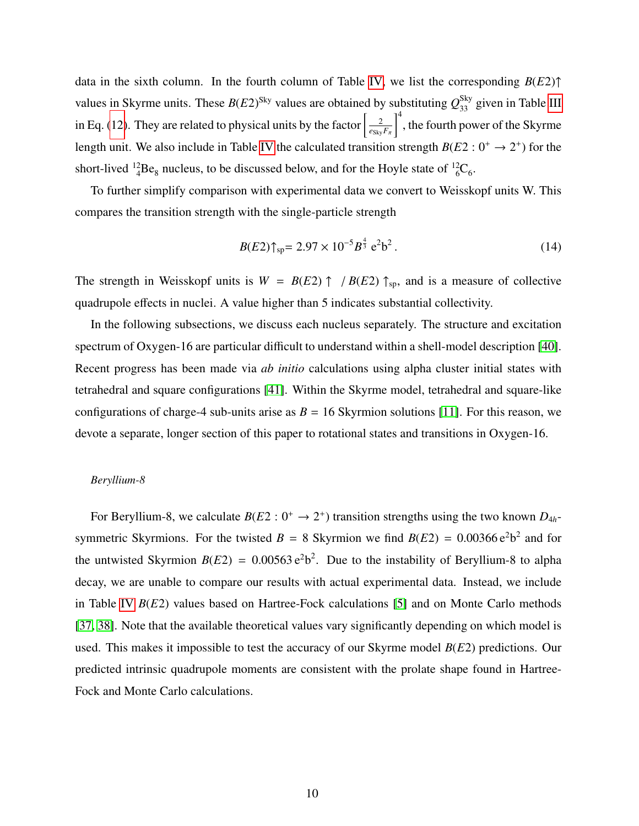data in the sixth column. In the fourth column of Table [IV,](#page-11-0) we list the corresponding *B*(*E*2)↑ values in Skyrme units. These  $B(E2)^{\text{Sky}}$  values are obtained by substituting  $Q_{33}^{\text{Sky}}$  given in Table [III](#page-8-0) in Eq. [\(12\)](#page-7-1). They are related to physical units by the factor  $\frac{2}{\epsilon_0}$  $e_{\text{Sky}}F_{\pi}$  $\int_{1}^{4}$ , the fourth power of the Skyrme length unit. We also include in Table [IV](#page-11-0) the calculated transition strength  $B(E2: 0^+ \rightarrow 2^+)$  for the short-lived  ${}^{12}_{4}Be_8$  nucleus, to be discussed below, and for the Hoyle state of  ${}^{12}_{6}C_6$ .

To further simplify comparison with experimental data we convert to Weisskopf units W. This compares the transition strength with the single-particle strength

$$
B(E2)\uparrow_{sp} = 2.97 \times 10^{-5} B^{\frac{4}{3}} e^2 b^2. \tag{14}
$$

The strength in Weisskopf units is  $W = B(E2) \uparrow / B(E2) \uparrow$ <sub>sp</sub>, and is a measure of collective quadrupole effects in nuclei. A value higher than 5 indicates substantial collectivity.

In the following subsections, we discuss each nucleus separately. The structure and excitation spectrum of Oxygen-16 are particular difficult to understand within a shell-model description [\[40\]](#page-21-9). Recent progress has been made via *ab initio* calculations using alpha cluster initial states with tetrahedral and square configurations [\[41\]](#page-21-10). Within the Skyrme model, tetrahedral and square-like configurations of charge-4 sub-units arise as  $B = 16$  Skyrmion solutions [\[11\]](#page-20-8). For this reason, we devote a separate, longer section of this paper to rotational states and transitions in Oxygen-16.

#### *Beryllium-8*

For Beryllium-8, we calculate  $B(E2: 0^+ \rightarrow 2^+)$  transition strengths using the two known  $D_{4h}$ symmetric Skyrmions. For the twisted  $B = 8$  Skyrmion we find  $B(E2) = 0.00366 e^2b^2$  and for the untwisted Skyrmion  $B(E2) = 0.00563 e^2 b^2$ . Due to the instability of Beryllium-8 to alpha decay, we are unable to compare our results with actual experimental data. Instead, we include in Table [IV](#page-11-0) *B*(*E*2) values based on Hartree-Fock calculations [\[5\]](#page-20-2) and on Monte Carlo methods [\[37,](#page-21-7) [38\]](#page-21-8). Note that the available theoretical values vary significantly depending on which model is used. This makes it impossible to test the accuracy of our Skyrme model *B*(*E*2) predictions. Our predicted intrinsic quadrupole moments are consistent with the prolate shape found in Hartree-Fock and Monte Carlo calculations.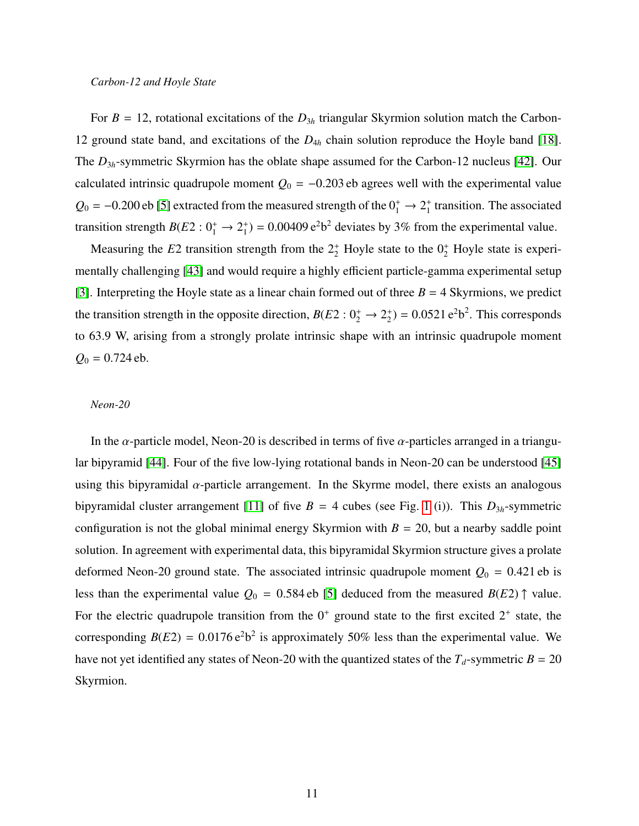#### <span id="page-11-0"></span>*Carbon-12 and Hoyle State*

For  $B = 12$ , rotational excitations of the  $D_{3h}$  triangular Skyrmion solution match the Carbon-12 ground state band, and excitations of the *D*4*<sup>h</sup>* chain solution reproduce the Hoyle band [\[18\]](#page-20-12). The *D*3*<sup>h</sup>*-symmetric Skyrmion has the oblate shape assumed for the Carbon-12 nucleus [\[42\]](#page-21-11). Our calculated intrinsic quadrupole moment  $Q_0 = -0.203$  eb agrees well with the experimental value  $Q_0 = -0.200$  eb [\[5\]](#page-20-2) extracted from the measured strength of the  $0^+_1 \rightarrow 2^+_1$  $_1^+$  transition. The associated transition strength  $B(E2:0_1^+ \rightarrow 2_1^+$  $_1^+$ ) = 0.00409 e<sup>2</sup>b<sup>2</sup> deviates by 3% from the experimental value.

Measuring the  $E2$  transition strength from the  $2^+_2$  Hoyle state to the  $0^+_2$  Hoyle state is experimentally challenging [\[43\]](#page-21-12) and would require a highly efficient particle-gamma experimental setup [\[3\]](#page-20-0). Interpreting the Hoyle state as a linear chain formed out of three  $B = 4$  Skyrmions, we predict the transition strength in the opposite direction,  $B(E2: 0_2^+ \rightarrow 2_2^+$  $^{+}_{2}$ ) = 0.0521 e<sup>2</sup>b<sup>2</sup>. This corresponds to 63.9 W, arising from a strongly prolate intrinsic shape with an intrinsic quadrupole moment  $Q_0 = 0.724$  eb.

#### *Neon-20*

In the  $\alpha$ -particle model, Neon-20 is described in terms of five  $\alpha$ -particles arranged in a triangular bipyramid [\[44\]](#page-21-13). Four of the five low-lying rotational bands in Neon-20 can be understood [\[45\]](#page-21-14) using this bipyramidal  $\alpha$ -particle arrangement. In the Skyrme model, there exists an analogous bipyramidal cluster arrangement [\[11\]](#page-20-8) of five  $B = 4$  cubes (see Fig. [1](#page-3-0) (i)). This  $D_{3h}$ -symmetric configuration is not the global minimal energy Skyrmion with  $B = 20$ , but a nearby saddle point solution. In agreement with experimental data, this bipyramidal Skyrmion structure gives a prolate deformed Neon-20 ground state. The associated intrinsic quadrupole moment  $Q_0 = 0.421$  eb is less than the experimental value  $Q_0 = 0.584$  eb [\[5\]](#page-20-2) deduced from the measured  $B(E2)$   $\uparrow$  value. For the electric quadrupole transition from the  $0^+$  ground state to the first excited  $2^+$  state, the corresponding  $B(E2) = 0.0176 e^2 b^2$  is approximately 50% less than the experimental value. We have not yet identified any states of Neon-20 with the quantized states of the  $T_d$ -symmetric  $B = 20$ Skyrmion.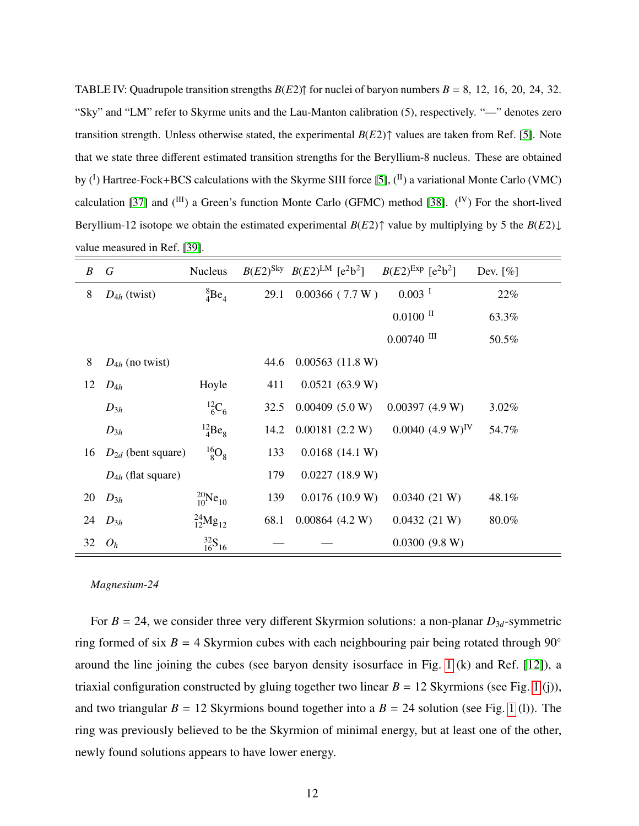TABLE IV: Quadrupole transition strengths  $B(E2)$ <sup> $\uparrow$ </sup> for nuclei of baryon numbers  $B = 8$ , 12, 16, 20, 24, 32. "Sky" and "LM" refer to Skyrme units and the Lau-Manton calibration (5), respectively. "—" denotes zero transition strength. Unless otherwise stated, the experimental *B*(*E*2)↑ values are taken from Ref. [\[5\]](#page-20-2). Note that we state three different estimated transition strengths for the Beryllium-8 nucleus. These are obtained by  $({}^I)$  Hartree-Fock+BCS calculations with the Skyrme SIII force [\[5\]](#page-20-2),  $({}^{II})$  a variational Monte Carlo (VMC) calculation [\[37\]](#page-21-7) and  $(^{III})$  a Green's function Monte Carlo (GFMC) method [\[38\]](#page-21-8).  $(^{IV})$  For the short-lived Beryllium-12 isotope we obtain the estimated experimental *B*(*E*2)↑ value by multiplying by 5 the *B*(*E*2)↓ value measured in Ref. [\[39\]](#page-21-15).

| B  | $\boldsymbol{G}$       | Nucleus                      |      | $B(E2)^{\text{Sky}}$ $B(E2)^{\text{LM}}$ [e <sup>2</sup> b <sup>2</sup> ] $B(E2)^{\text{Exp}}$ [e <sup>2</sup> b <sup>2</sup> ] |                       | Dev. $[\%]$ |
|----|------------------------|------------------------------|------|---------------------------------------------------------------------------------------------------------------------------------|-----------------------|-------------|
| 8  | $D_{4h}$ (twist)       | ${}^{8}_{4}Be_4$             | 29.1 | $0.00366$ (7.7 W)                                                                                                               | $0.003$ <sup>I</sup>  | 22%         |
|    |                        |                              |      |                                                                                                                                 | $0.0100$ II           | 63.3%       |
|    |                        |                              |      |                                                                                                                                 | $0.00740$ III         | 50.5%       |
| 8  | $D_{4h}$ (no twist)    |                              | 44.6 | $0.00563$ (11.8 W)                                                                                                              |                       |             |
| 12 | $D_{4h}$               | Hoyle                        | 411  | 0.0521(63.9 W)                                                                                                                  |                       |             |
|    | $D_{3h}$               | $^{12}C_6$                   | 32.5 | $0.00409$ (5.0 W)                                                                                                               | 0.00397(4.9 W)        | 3.02%       |
|    | $D_{3h}$               | $^{12}_{4}Be_8$              | 14.2 | 0.00181(2.2 W)                                                                                                                  | $0.0040~(4.9~W)^{IV}$ | 54.7%       |
| 16 | $D_{2d}$ (bent square) | $^{16}_{8}O_8$               | 133  | $0.0168$ (14.1 W)                                                                                                               |                       |             |
|    | $D_{4h}$ (flat square) |                              | 179  | $0.0227$ (18.9 W)                                                                                                               |                       |             |
| 20 | $D_{3h}$               | $^{20}_{10}Ne_{10}$          | 139  | $0.0176$ (10.9 W)                                                                                                               | 0.0340(21 W)          | 48.1%       |
| 24 | $D_{3h}$               | $^{24}_{12}Mg_{12}$          | 68.1 | $0.00864$ (4.2 W)                                                                                                               | 0.0432(21 W)          | 80.0%       |
| 32 | $O_h$                  | $^{32}_{16}$ S <sub>16</sub> |      |                                                                                                                                 | 0.0300(9.8 W)         |             |

#### *Magnesium-24*

For  $B = 24$ , we consider three very different Skyrmion solutions: a non-planar  $D_{3d}$ -symmetric ring formed of six  $B = 4$  Skyrmion cubes with each neighbouring pair being rotated through 90° around the line joining the cubes (see baryon density isosurface in Fig. [1](#page-3-0) (k) and Ref. [\[12\]](#page-20-9)), a triaxial configuration constructed by gluing together two linear  $B = 12$  $B = 12$  $B = 12$  Skyrmions (see Fig. 1 (j)), and two triangular  $B = 12$  $B = 12$  $B = 12$  Skyrmions bound together into a  $B = 24$  solution (see Fig. 1 (1)). The ring was previously believed to be the Skyrmion of minimal energy, but at least one of the other, newly found solutions appears to have lower energy.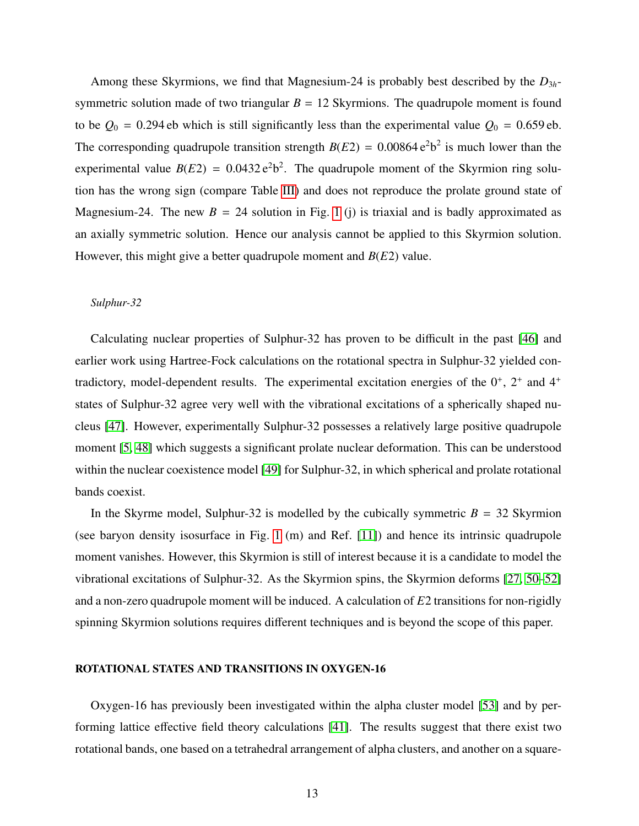Among these Skyrmions, we find that Magnesium-24 is probably best described by the *D*3*<sup>h</sup>*symmetric solution made of two triangular  $B = 12$  Skyrmions. The quadrupole moment is found to be  $Q_0 = 0.294$  eb which is still significantly less than the experimental value  $Q_0 = 0.659$  eb. The corresponding quadrupole transition strength  $B(E2) = 0.00864 e^2 b^2$  is much lower than the experimental value  $B(E2) = 0.0432 e^2 b^2$ . The quadrupole moment of the Skyrmion ring solution has the wrong sign (compare Table [III\)](#page-8-0) and does not reproduce the prolate ground state of Magnesium-24. The new  $B = 24$  solution in Fig. [1](#page-3-0) (j) is triaxial and is badly approximated as an axially symmetric solution. Hence our analysis cannot be applied to this Skyrmion solution. However, this might give a better quadrupole moment and *B*(*E*2) value.

#### *Sulphur-32*

Calculating nuclear properties of Sulphur-32 has proven to be difficult in the past [\[46\]](#page-21-16) and earlier work using Hartree-Fock calculations on the rotational spectra in Sulphur-32 yielded contradictory, model-dependent results. The experimental excitation energies of the  $0^+$ ,  $2^+$  and  $4^+$ states of Sulphur-32 agree very well with the vibrational excitations of a spherically shaped nucleus [\[47\]](#page-21-17). However, experimentally Sulphur-32 possesses a relatively large positive quadrupole moment [\[5,](#page-20-2) [48\]](#page-21-18) which suggests a significant prolate nuclear deformation. This can be understood within the nuclear coexistence model [\[49\]](#page-21-19) for Sulphur-32, in which spherical and prolate rotational bands coexist.

In the Skyrme model, Sulphur-32 is modelled by the cubically symmetric  $B = 32$  Skyrmion (see baryon density isosurface in Fig. [1](#page-3-0) (m) and Ref. [\[11\]](#page-20-8)) and hence its intrinsic quadrupole moment vanishes. However, this Skyrmion is still of interest because it is a candidate to model the vibrational excitations of Sulphur-32. As the Skyrmion spins, the Skyrmion deforms [\[27,](#page-20-21) [50](#page-21-20)[–52\]](#page-21-21) and a non-zero quadrupole moment will be induced. A calculation of *E*2 transitions for non-rigidly spinning Skyrmion solutions requires different techniques and is beyond the scope of this paper.

#### ROTATIONAL STATES AND TRANSITIONS IN OXYGEN-16

Oxygen-16 has previously been investigated within the alpha cluster model [\[53\]](#page-21-22) and by performing lattice effective field theory calculations [\[41\]](#page-21-10). The results suggest that there exist two rotational bands, one based on a tetrahedral arrangement of alpha clusters, and another on a square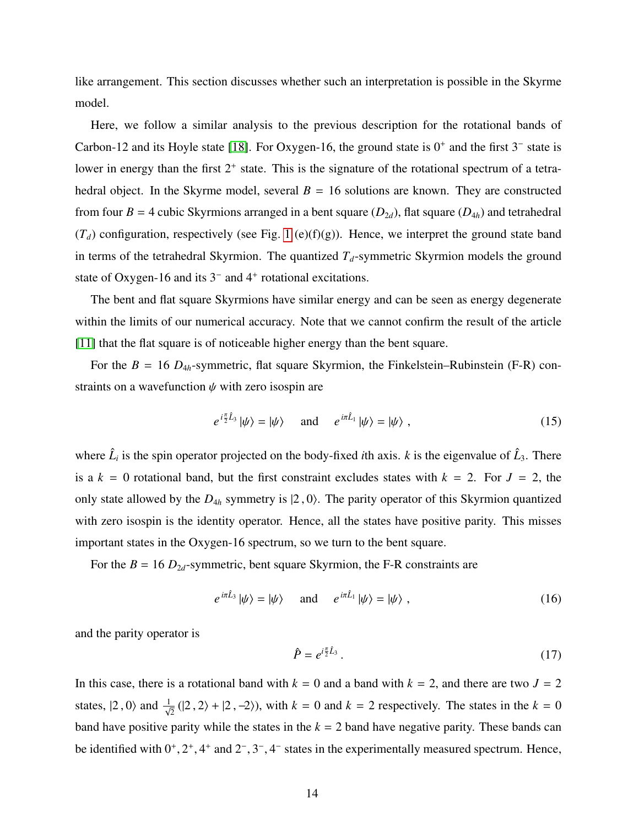like arrangement. This section discusses whether such an interpretation is possible in the Skyrme model.

Here, we follow a similar analysis to the previous description for the rotational bands of Carbon-12 and its Hoyle state [\[18\]](#page-20-12). For Oxygen-16, the ground state is  $0^+$  and the first  $3^-$  state is lower in energy than the first  $2^+$  state. This is the signature of the rotational spectrum of a tetrahedral object. In the Skyrme model, several  $B = 16$  solutions are known. They are constructed from four  $B = 4$  cubic Skyrmions arranged in a bent square  $(D_{2d})$ , flat square  $(D_{4h})$  and tetrahedral  $(T_d)$  configuration, respectively (see Fig. [1](#page-3-0) (e)(f)(g)). Hence, we interpret the ground state band in terms of the tetrahedral Skyrmion. The quantized  $T<sub>d</sub>$ -symmetric Skyrmion models the ground state of Oxygen-16 and its  $3<sup>-</sup>$  and  $4<sup>+</sup>$  rotational excitations.

The bent and flat square Skyrmions have similar energy and can be seen as energy degenerate within the limits of our numerical accuracy. Note that we cannot confirm the result of the article [\[11\]](#page-20-8) that the flat square is of noticeable higher energy than the bent square.

<span id="page-14-0"></span>For the  $B = 16$   $D_{4h}$ -symmetric, flat square Skyrmion, the Finkelstein–Rubinstein (F-R) constraints on a wavefunction  $\psi$  with zero isospin are

$$
e^{i\frac{\pi}{2}\hat{L}_3}|\psi\rangle = |\psi\rangle \quad \text{and} \quad e^{i\pi\hat{L}_1}|\psi\rangle = |\psi\rangle , \qquad (15)
$$

where  $\hat{L}_i$  is the spin operator projected on the body-fixed *i*th axis. *k* is the eigenvalue of  $\hat{L}_3$ . There is a  $k = 0$  rotational band, but the first constraint excludes states with  $k = 2$ . For  $J = 2$ , the only state allowed by the  $D_{4h}$  symmetry is  $|2, 0\rangle$ . The parity operator of this Skyrmion quantized with zero isospin is the identity operator. Hence, all the states have positive parity. This misses important states in the Oxygen-16 spectrum, so we turn to the bent square.

For the  $B = 16 D_{2d}$ -symmetric, bent square Skyrmion, the F-R constraints are

$$
e^{i\pi \hat{L}_3} |\psi\rangle = |\psi\rangle
$$
 and  $e^{i\pi \hat{L}_1} |\psi\rangle = |\psi\rangle$ , (16)

and the parity operator is

$$
\hat{P} = e^{i\frac{\pi}{2}\hat{L}_3} \,. \tag{17}
$$

<span id="page-14-1"></span>In this case, there is a rotational band with  $k = 0$  and a band with  $k = 2$ , and there are two  $J = 2$ states,  $|2, 0\rangle$  and  $\frac{1}{\sqrt{2}}(|2, 2\rangle + |2, -2\rangle)$ , with  $k = 0$  and  $k = 2$  respectively. The states in the  $k = 0$ band have positive parity while the states in the  $k = 2$  band have negative parity. These bands can be identified with  $0^+, 2^+, 4^+$  and  $2^-, 3^-, 4^-$  states in the experimentally measured spectrum. Hence,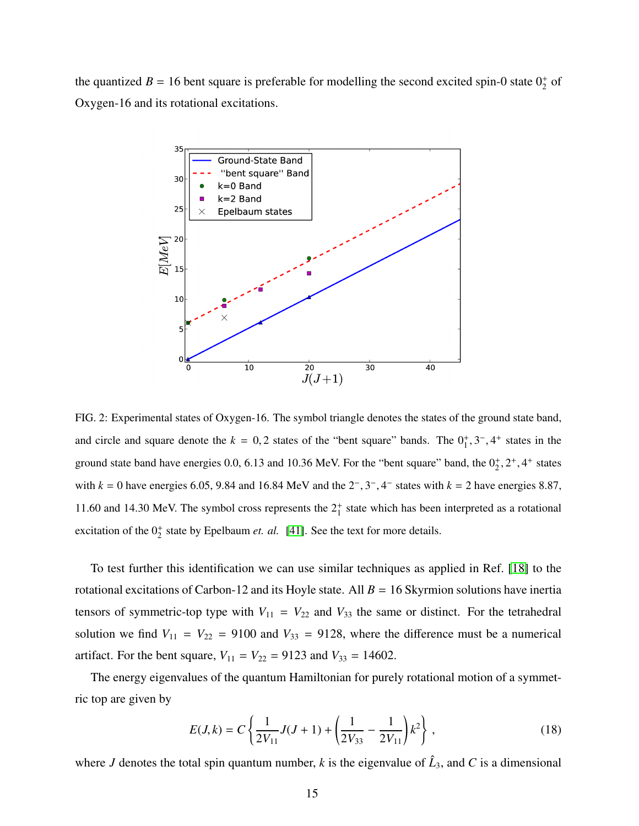the quantized  $B = 16$  bent square is preferable for modelling the second excited spin-0 state  $0<sub>2</sub><sup>+</sup>$  of Oxygen-16 and its rotational excitations.



FIG. 2: Experimental states of Oxygen-16. The symbol triangle denotes the states of the ground state band, and circle and square denote the  $k = 0, 2$  states of the "bent square" bands. The  $0^+_1, 3^-, 4^+$  states in the ground state band have energies 0.0, 6.13 and 10.36 MeV. For the "bent square" band, the  $0^+_2$ ,  $2^+, 4^+$  states with  $k = 0$  have energies 6.05, 9.84 and 16.84 MeV and the  $2^-, 3^-, 4^-$  states with  $k = 2$  have energies 8.87, 11.60 and 14.30 MeV. The symbol cross represents the  $2^+_1$  state which has been interpreted as a rotational excitation of the  $0^+_2$  state by Epelbaum *et. al.* [\[41\]](#page-21-10). See the text for more details.

To test further this identification we can use similar techniques as applied in Ref. [\[18\]](#page-20-12) to the rotational excitations of Carbon-12 and its Hoyle state. All  $B = 16$  Skyrmion solutions have inertia tensors of symmetric-top type with  $V_{11} = V_{22}$  and  $V_{33}$  the same or distinct. For the tetrahedral solution we find  $V_{11} = V_{22} = 9100$  and  $V_{33} = 9128$ , where the difference must be a numerical artifact. For the bent square,  $V_{11} = V_{22} = 9123$  and  $V_{33} = 14602$ .

The energy eigenvalues of the quantum Hamiltonian for purely rotational motion of a symmetric top are given by

$$
E(J,k) = C \left\{ \frac{1}{2V_{11}} J(J+1) + \left( \frac{1}{2V_{33}} - \frac{1}{2V_{11}} \right) k^2 \right\},
$$
\n(18)

where *J* denotes the total spin quantum number, *k* is the eigenvalue of  $\hat{L}_3$ , and *C* is a dimensional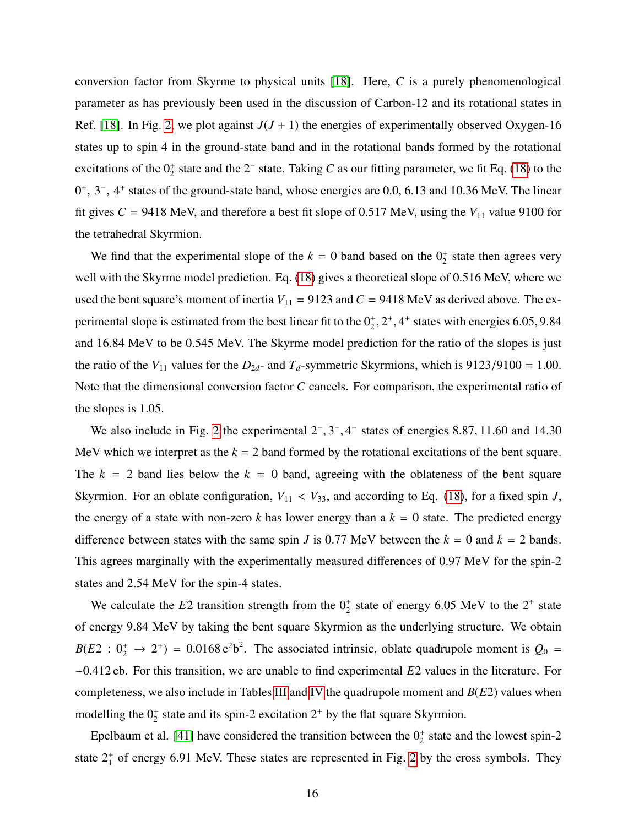conversion factor from Skyrme to physical units [\[18\]](#page-20-12). Here, *C* is a purely phenomenological parameter as has previously been used in the discussion of Carbon-12 and its rotational states in Ref. [\[18\]](#page-20-12). In Fig. [2,](#page-14-0) we plot against  $J(J + 1)$  the energies of experimentally observed Oxygen-16 states up to spin 4 in the ground-state band and in the rotational bands formed by the rotational excitations of the  $0<sub>2</sub><sup>+</sup>$  state and the 2<sup>-</sup> state. Taking *C* as our fitting parameter, we fit Eq. [\(18\)](#page-14-1) to the 0<sup>+</sup>, 3<sup>-</sup>, 4<sup>+</sup> states of the ground-state band, whose energies are 0.0, 6.13 and 10.36 MeV. The linear fit gives  $C = 9418$  MeV, and therefore a best fit slope of 0.517 MeV, using the  $V_{11}$  value 9100 for the tetrahedral Skyrmion.

We find that the experimental slope of the  $k = 0$  band based on the  $0<sub>2</sub><sup>+</sup>$  state then agrees very well with the Skyrme model prediction. Eq. [\(18\)](#page-14-1) gives a theoretical slope of 0.516 MeV, where we used the bent square's moment of inertia  $V_{11} = 9123$  and  $C = 9418$  MeV as derived above. The experimental slope is estimated from the best linear fit to the  $0^+_2$ ,  $2^+, 4^+$  states with energies 6.05, 9.84 and 16.84 MeV to be 0.545 MeV. The Skyrme model prediction for the ratio of the slopes is just the ratio of the  $V_{11}$  values for the  $D_{2d}$ - and  $T_d$ -symmetric Skyrmions, which is 9123/9100 = 1.00. Note that the dimensional conversion factor *C* cancels. For comparison, the experimental ratio of the slopes is 1.05.

We also include in Fig. [2](#page-14-0) the experimental  $2^-, 3^-, 4^-$  states of energies 8.87, 11.60 and 14.30 MeV which we interpret as the  $k = 2$  band formed by the rotational excitations of the bent square. The  $k = 2$  band lies below the  $k = 0$  band, agreeing with the oblateness of the bent square Skyrmion. For an oblate configuration,  $V_{11} < V_{33}$ , and according to Eq. [\(18\)](#page-14-1), for a fixed spin *J*, the energy of a state with non-zero  $k$  has lower energy than a  $k = 0$  state. The predicted energy difference between states with the same spin *J* is 0.77 MeV between the  $k = 0$  and  $k = 2$  bands. This agrees marginally with the experimentally measured differences of 0.97 MeV for the spin-2 states and 2.54 MeV for the spin-4 states.

We calculate the  $E2$  transition strength from the  $0<sub>2</sub><sup>+</sup>$  state of energy 6.05 MeV to the  $2<sup>+</sup>$  state of energy 9.84 MeV by taking the bent square Skyrmion as the underlying structure. We obtain  $B(E2: 0^+_2 \rightarrow 2^+) = 0.0168 \text{ e}^2 \text{b}^2$ . The associated intrinsic, oblate quadrupole moment is  $Q_0 =$ −0.412 eb. For this transition, we are unable to find experimental *E*2 values in the literature. For completeness, we also include in Tables [III](#page-8-0) and [IV](#page-11-0) the quadrupole moment and *B*(*E*2) values when modelling the  $0^+_2$  state and its spin-2 excitation  $2^+$  by the flat square Skyrmion.

Epelbaum et al. [\[41\]](#page-21-10) have considered the transition between the  $0^+_2$  state and the lowest spin-2 state  $2^+_1$  of energy 6.91 MeV. These states are represented in Fig. [2](#page-14-0) by the cross symbols. They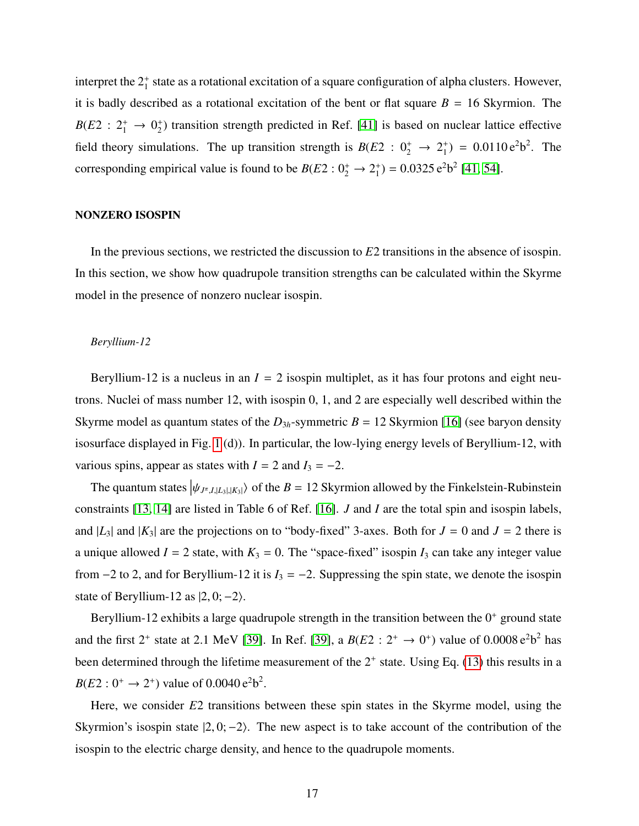interpret the  $2^+_1$  state as a rotational excitation of a square configuration of alpha clusters. However, it is badly described as a rotational excitation of the bent or flat square  $B = 16$  Skyrmion. The  $B(E2 : 2_1^+ \rightarrow 0_2^+$ 2 ) transition strength predicted in Ref. [\[41\]](#page-21-10) is based on nuclear lattice effective field theory simulations. The up transition strength is  $B(E2 : 0^+_2 \rightarrow 2^+_1)$  $_1^{\text{+}}$ ) = 0.0110 e<sup>2</sup>b<sup>2</sup>. The corresponding empirical value is found to be  $B(E2: 0_2^+ \rightarrow 2_1^+$  $_1^{\text{+}}$ ) = 0.0325 e<sup>2</sup>b<sup>2</sup> [\[41,](#page-21-10) [54\]](#page-21-23).

#### NONZERO ISOSPIN

In the previous sections, we restricted the discussion to *E*2 transitions in the absence of isospin. In this section, we show how quadrupole transition strengths can be calculated within the Skyrme model in the presence of nonzero nuclear isospin.

#### *Beryllium-12*

Beryllium-12 is a nucleus in an  $I = 2$  isospin multiplet, as it has four protons and eight neutrons. Nuclei of mass number 12, with isospin 0, 1, and 2 are especially well described within the Skyrme model as quantum states of the  $D_{3h}$ -symmetric  $B = 12$  Skyrmion [\[16\]](#page-20-25) (see baryon density isosurface displayed in Fig. [1](#page-3-0) (d)). In particular, the low-lying energy levels of Beryllium-12, with various spins, appear as states with  $I = 2$  and  $I_3 = -2$ .

The quantum states  $|\psi_{J^{\pi}, I, |L_3|, |K_3|}\rangle$  of the *B* = 12 Skyrmion allowed by the Finkelstein-Rubinstein constraints [\[13,](#page-20-10) [14\]](#page-20-26) are listed in Table 6 of Ref. [\[16\]](#page-20-25). *J* and *I* are the total spin and isospin labels, and  $|L_3|$  and  $|K_3|$  are the projections on to "body-fixed" 3-axes. Both for  $J = 0$  and  $J = 2$  there is a unique allowed  $I = 2$  state, with  $K_3 = 0$ . The "space-fixed" isospin  $I_3$  can take any integer value from  $-2$  to 2, and for Beryllium-12 it is  $I_3 = -2$ . Suppressing the spin state, we denote the isospin state of Beryllium-12 as  $|2, 0; -2\rangle$ .

Beryllium-12 exhibits a large quadrupole strength in the transition between the  $0^+$  ground state and the first  $2^+$  state at 2.1 MeV [\[39\]](#page-21-15). In Ref. [39], a  $B(E2 : 2^+ \rightarrow 0^+)$  value of 0.0008  $e^2b^2$  has been determined through the lifetime measurement of the  $2^+$  state. Using Eq. [\(13\)](#page-7-2) this results in a  $B(E2:0^+ \rightarrow 2^+)$  value of 0.0040 e<sup>2</sup>b<sup>2</sup>.

<span id="page-17-0"></span>Here, we consider *E*2 transitions between these spin states in the Skyrme model, using the Skyrmion's isospin state  $|2, 0; -2\rangle$ . The new aspect is to take account of the contribution of the isospin to the electric charge density, and hence to the quadrupole moments.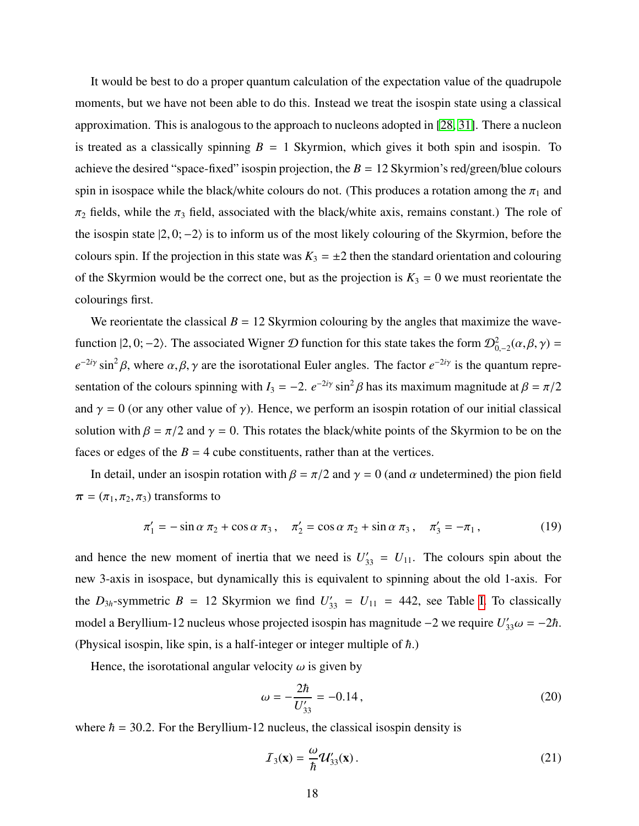It would be best to do a proper quantum calculation of the expectation value of the quadrupole moments, but we have not been able to do this. Instead we treat the isospin state using a classical approximation. This is analogous to the approach to nucleons adopted in [\[28,](#page-20-22) [31\]](#page-21-1). There a nucleon is treated as a classically spinning  $B = 1$  Skyrmion, which gives it both spin and isospin. To achieve the desired "space-fixed" isospin projection, the  $B = 12$  Skyrmion's red/green/blue colours spin in isospace while the black/white colours do not. (This produces a rotation among the  $\pi_1$  and  $\pi_2$  fields, while the  $\pi_3$  field, associated with the black/white axis, remains constant.) The role of the isospin state  $|2, 0; -2\rangle$  is to inform us of the most likely colouring of the Skyrmion, before the colours spin. If the projection in this state was  $K_3 = \pm 2$  then the standard orientation and colouring of the Skyrmion would be the correct one, but as the projection is  $K_3 = 0$  we must reorientate the colourings first.

We reorientate the classical  $B = 12$  Skyrmion colouring by the angles that maximize the wavefunction  $|2, 0; -2\rangle$ . The associated Wigner  $D$  function for this state takes the form  $\mathcal{D}^2_{0,-2}(\alpha,\beta,\gamma) =$  $e^{-2i\gamma}$  sin<sup>2</sup> $\beta$ , where  $\alpha, \beta, \gamma$  are the isorotational Euler angles. The factor  $e^{-2i\gamma}$  is the quantum representation of the colours spinning with  $I_3 = -2$ .  $e^{-2i\gamma} \sin^2 \beta$  has its maximum magnitude at  $\beta = \pi/2$ and  $\gamma = 0$  (or any other value of  $\gamma$ ). Hence, we perform an isospin rotation of our initial classical solution with  $\beta = \pi/2$  and  $\gamma = 0$ . This rotates the black/white points of the Skyrmion to be on the faces or edges of the  $B = 4$  cube constituents, rather than at the vertices.

In detail, under an isospin rotation with  $\beta = \pi/2$  and  $\gamma = 0$  (and  $\alpha$  undetermined) the pion field  $\pi = (\pi_1, \pi_2, \pi_3)$  transforms to

$$
\pi'_1 = -\sin\alpha \pi_2 + \cos\alpha \pi_3, \quad \pi'_2 = \cos\alpha \pi_2 + \sin\alpha \pi_3, \quad \pi'_3 = -\pi_1,
$$
 (19)

and hence the new moment of inertia that we need is  $U'_{33} = U_{11}$ . The colours spin about the new 3-axis in isospace, but dynamically this is equivalent to spinning about the old 1-axis. For the  $D_{3h}$ -symmetric  $B = 12$  Skyrmion we find  $U'_{33} = U_{11} = 442$ , see Table [I.](#page-5-0) To classically model a Beryllium-12 nucleus whose projected isospin has magnitude  $-2$  we require *U*<sub>33</sub>ω =  $-2<sup>π</sup>$ . (Physical isospin, like spin, is a half-integer or integer multiple of  $\hbar$ .)

Hence, the isorotational angular velocity  $\omega$  is given by

$$
\omega = -\frac{2\hbar}{U'_{33}} = -0.14\,,\tag{20}
$$

where  $h = 30.2$ . For the Beryllium-12 nucleus, the classical isospin density is

$$
\mathcal{I}_3(\mathbf{x}) = \frac{\omega}{\hbar} \mathcal{U}'_{33}(\mathbf{x}) \,. \tag{21}
$$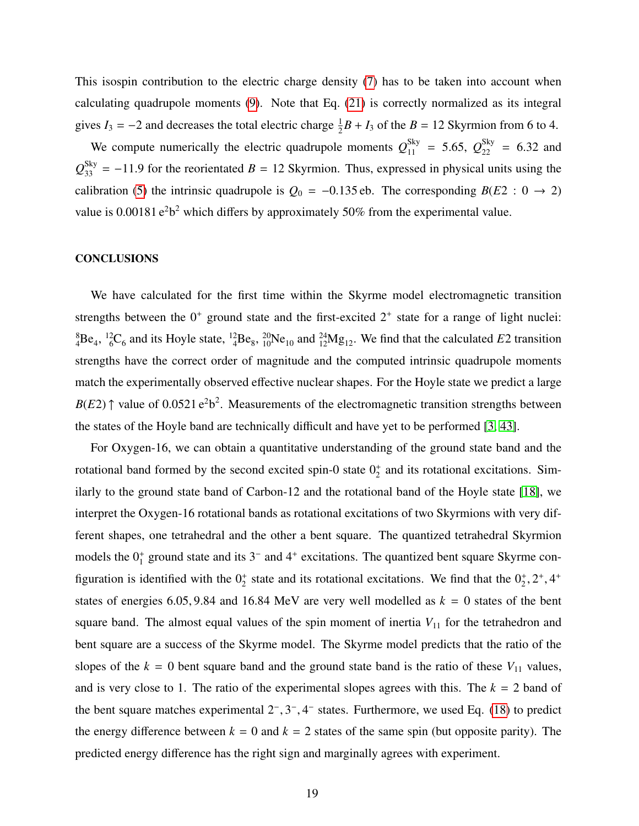This isospin contribution to the electric charge density [\(7\)](#page-5-1) has to be taken into account when calculating quadrupole moments [\(9\)](#page-6-1). Note that Eq. [\(21\)](#page-17-0) is correctly normalized as its integral gives  $I_3 = -2$  and decreases the total electric charge  $\frac{1}{2}B + I_3$  of the  $B = 12$  Skyrmion from 6 to 4.

We compute numerically the electric quadrupole moments  $Q_{11}^{\text{Sky}} = 5.65$ ,  $Q_{22}^{\text{Sky}} = 6.32$  and  $Q_{33}^{\text{Sky}} = -11.9$  for the reorientated *B* = 12 Skyrmion. Thus, expressed in physical units using the calibration [\(5\)](#page-4-0) the intrinsic quadrupole is  $Q_0 = -0.135$  eb. The corresponding *B*(*E*2 : 0  $\rightarrow$  2) value is 0.00181  $e^2b^2$  which differs by approximately 50% from the experimental value.

#### **CONCLUSIONS**

We have calculated for the first time within the Skyrme model electromagnetic transition strengths between the  $0^+$  ground state and the first-excited  $2^+$  state for a range of light nuclei:  ${}^{8}_{4}Be_4$ ,  ${}^{12}_{6}C_6$  and its Hoyle state,  ${}^{12}_{4}Be_8$ ,  ${}^{20}_{10}Ne_{10}$  and  ${}^{24}_{12}Mg_{12}$ . We find that the calculated *E*2 transition strengths have the correct order of magnitude and the computed intrinsic quadrupole moments match the experimentally observed effective nuclear shapes. For the Hoyle state we predict a large  $B(E2)$   $\uparrow$  value of 0.0521 e<sup>2</sup>b<sup>2</sup>. Measurements of the electromagnetic transition strengths between the states of the Hoyle band are technically difficult and have yet to be performed [\[3,](#page-20-0) [43\]](#page-21-12).

<span id="page-19-0"></span>For Oxygen-16, we can obtain a quantitative understanding of the ground state band and the rotational band formed by the second excited spin-0 state  $0<sub>2</sub><sup>+</sup>$  and its rotational excitations. Similarly to the ground state band of Carbon-12 and the rotational band of the Hoyle state [\[18\]](#page-20-12), we interpret the Oxygen-16 rotational bands as rotational excitations of two Skyrmions with very different shapes, one tetrahedral and the other a bent square. The quantized tetrahedral Skyrmion models the  $0^+_1$  ground state and its  $3^-$  and  $4^+$  excitations. The quantized bent square Skyrme configuration is identified with the  $0^+_2$  state and its rotational excitations. We find that the  $0^+_2$ ,  $2^+, 4^+$ states of energies 6.05, 9.84 and 16.84 MeV are very well modelled as  $k = 0$  states of the bent square band. The almost equal values of the spin moment of inertia  $V_{11}$  for the tetrahedron and bent square are a success of the Skyrme model. The Skyrme model predicts that the ratio of the slopes of the  $k = 0$  bent square band and the ground state band is the ratio of these  $V_{11}$  values, and is very close to 1. The ratio of the experimental slopes agrees with this. The  $k = 2$  band of the bent square matches experimental  $2^-, 3^-, 4^-$  states. Furthermore, we used Eq. [\(18\)](#page-14-1) to predict the energy difference between  $k = 0$  and  $k = 2$  states of the same spin (but opposite parity). The predicted energy difference has the right sign and marginally agrees with experiment.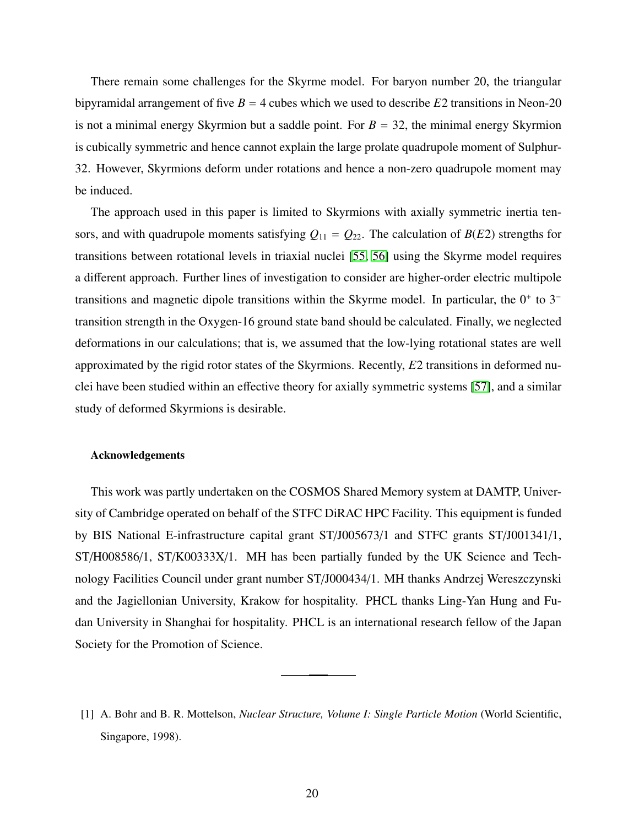<span id="page-20-24"></span><span id="page-20-0"></span>There remain some challenges for the Skyrme model. For baryon number 20, the triangular bipyramidal arrangement of five  $B = 4$  cubes which we used to describe  $E2$  transitions in Neon-20 is not a minimal energy Skyrmion but a saddle point. For  $B = 32$ , the minimal energy Skyrmion is cubically symmetric and hence cannot explain the large prolate quadrupole moment of Sulphur-32. However, Skyrmions deform under rotations and hence a non-zero quadrupole moment may be induced.

<span id="page-20-8"></span><span id="page-20-7"></span><span id="page-20-6"></span><span id="page-20-5"></span><span id="page-20-4"></span><span id="page-20-3"></span><span id="page-20-2"></span><span id="page-20-1"></span>The approach used in this paper is limited to Skyrmions with axially symmetric inertia tensors, and with quadrupole moments satisfying  $Q_{11} = Q_{22}$ . The calculation of  $B(E2)$  strengths for transitions between rotational levels in triaxial nuclei [\[55,](#page-21-24) [56\]](#page-21-25) using the Skyrme model requires a different approach. Further lines of investigation to consider are higher-order electric multipole transitions and magnetic dipole transitions within the Skyrme model. In particular, the  $0^+$  to  $3^$ transition strength in the Oxygen-16 ground state band should be calculated. Finally, we neglected deformations in our calculations; that is, we assumed that the low-lying rotational states are well approximated by the rigid rotor states of the Skyrmions. Recently, *E*2 transitions in deformed nuclei have been studied within an effective theory for axially symmetric systems [\[57\]](#page-21-26), and a similar study of deformed Skyrmions is desirable.

#### <span id="page-20-26"></span><span id="page-20-25"></span><span id="page-20-20"></span><span id="page-20-11"></span><span id="page-20-10"></span><span id="page-20-9"></span>Acknowledgements

<span id="page-20-16"></span><span id="page-20-15"></span><span id="page-20-14"></span><span id="page-20-13"></span><span id="page-20-12"></span>This work was partly undertaken on the COSMOS Shared Memory system at DAMTP, University of Cambridge operated on behalf of the STFC DiRAC HPC Facility. This equipment is funded by BIS National E-infrastructure capital grant ST/J005673/1 and STFC grants ST/J001341/1, ST/H008586/1, ST/K00333X/1. MH has been partially funded by the UK Science and Technology Facilities Council under grant number ST/J000434/1. MH thanks Andrzej Wereszczynski and the Jagiellonian University, Krakow for hospitality. PHCL thanks Ling-Yan Hung and Fudan University in Shanghai for hospitality. PHCL is an international research fellow of the Japan Society for the Promotion of Science.

<span id="page-20-23"></span><span id="page-20-22"></span><span id="page-20-21"></span><span id="page-20-19"></span><span id="page-20-18"></span><span id="page-20-17"></span><sup>[1]</sup> A. Bohr and B. R. Mottelson, *Nuclear Structure, Volume I: Single Particle Motion* (World Scientific, Singapore, 1998).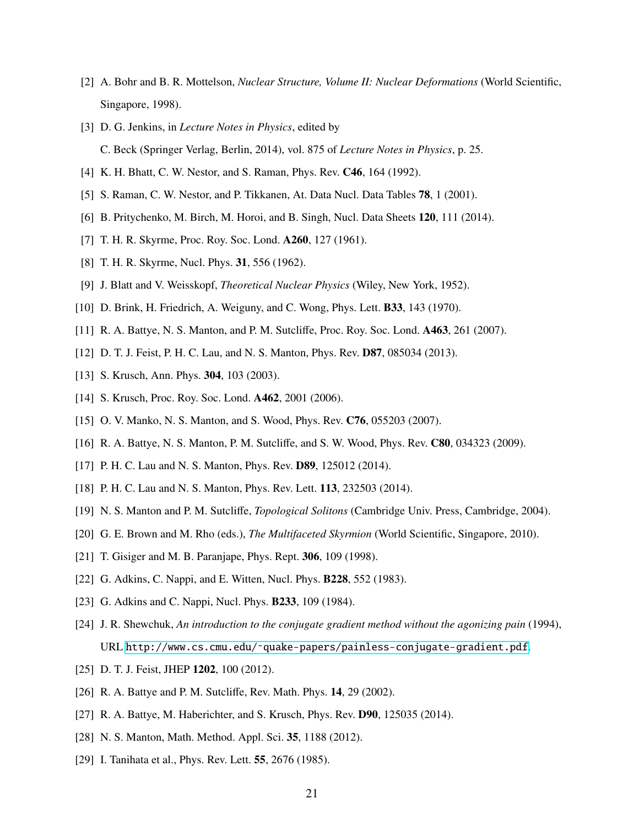- <span id="page-21-1"></span><span id="page-21-0"></span>[2] A. Bohr and B. R. Mottelson, *Nuclear Structure, Volume II: Nuclear Deformations* (World Scientific, Singapore, 1998).
- <span id="page-21-6"></span><span id="page-21-5"></span>[3] D. G. Jenkins, in *Lecture Notes in Physics*, edited by C. Beck (Springer Verlag, Berlin, 2014), vol. 875 of *Lecture Notes in Physics*, p. 25.
- <span id="page-21-2"></span>[4] K. H. Bhatt, C. W. Nestor, and S. Raman, Phys. Rev. **C46**, 164 (1992).
- <span id="page-21-3"></span>[5] S. Raman, C. W. Nestor, and P. Tikkanen, At. Data Nucl. Data Tables 78, 1 (2001).
- <span id="page-21-4"></span>[6] B. Pritychenko, M. Birch, M. Horoi, and B. Singh, Nucl. Data Sheets 120, 111 (2014).
- <span id="page-21-7"></span>[7] T. H. R. Skyrme, Proc. Roy. Soc. Lond. A260, 127 (1961).
- <span id="page-21-8"></span>[8] T. H. R. Skyrme, Nucl. Phys. 31, 556 (1962).
- <span id="page-21-15"></span>[9] J. Blatt and V. Weisskopf, *Theoretical Nuclear Physics* (Wiley, New York, 1952).
- <span id="page-21-9"></span>[10] D. Brink, H. Friedrich, A. Weiguny, and C. Wong, Phys. Lett. B33, 143 (1970).
- <span id="page-21-10"></span>[11] R. A. Battye, N. S. Manton, and P. M. Sutcliffe, Proc. Roy. Soc. Lond. A463, 261 (2007).
- [12] D. T. J. Feist, P. H. C. Lau, and N. S. Manton, Phys. Rev. **D87**, 085034 (2013).
- <span id="page-21-11"></span>[13] S. Krusch, Ann. Phys. **304**, 103 (2003).
- <span id="page-21-12"></span>[14] S. Krusch, Proc. Roy. Soc. Lond. **A462**, 2001 (2006).
- <span id="page-21-13"></span>[15] O. V. Manko, N. S. Manton, and S. Wood, Phys. Rev. C76, 055203 (2007).
- <span id="page-21-14"></span>[16] R. A. Battye, N. S. Manton, P. M. Sutcliffe, and S. W. Wood, Phys. Rev. C80, 034323 (2009).
- <span id="page-21-16"></span>[17] P. H. C. Lau and N. S. Manton, Phys. Rev. **D89**, 125012 (2014).
- <span id="page-21-17"></span>[18] P. H. C. Lau and N. S. Manton, Phys. Rev. Lett. **113**, 232503 (2014).
- <span id="page-21-18"></span>[19] N. S. Manton and P. M. Sutcliffe, *Topological Solitons* (Cambridge Univ. Press, Cambridge, 2004).
- <span id="page-21-19"></span>[20] G. E. Brown and M. Rho (eds.), *The Multifaceted Skyrmion* (World Scientific, Singapore, 2010).
- <span id="page-21-20"></span>[21] T. Gisiger and M. B. Paranjape, Phys. Rept. 306, 109 (1998).
- [22] G. Adkins, C. Nappi, and E. Witten, Nucl. Phys. **B228**, 552 (1983).
- <span id="page-21-21"></span>[23] G. Adkins and C. Nappi, Nucl. Phys. **B233**, 109 (1984).
- <span id="page-21-22"></span>[24] J. R. Shewchuk, *An introduction to the conjugate gradient method without the agonizing pain* (1994), URL [http://www.cs.cmu.edu/˜quake-papers/painless-conjugate-gradient.pdf](http://www.cs.cmu.edu/~quake-papers/painless-conjugate-gradient.pdf).
- <span id="page-21-24"></span><span id="page-21-23"></span>[25] D. T. J. Feist, JHEP 1202, 100 (2012).
- <span id="page-21-25"></span>[26] R. A. Battye and P. M. Sutcliffe, Rev. Math. Phys. **14**, 29 (2002).
- [27] R. A. Battye, M. Haberichter, and S. Krusch, Phys. Rev. **D90**, 125035 (2014).
- <span id="page-21-26"></span>[28] N. S. Manton, Math. Method. Appl. Sci. 35, 1188 (2012).
- [29] I. Tanihata et al., Phys. Rev. Lett. **55**, 2676 (1985).